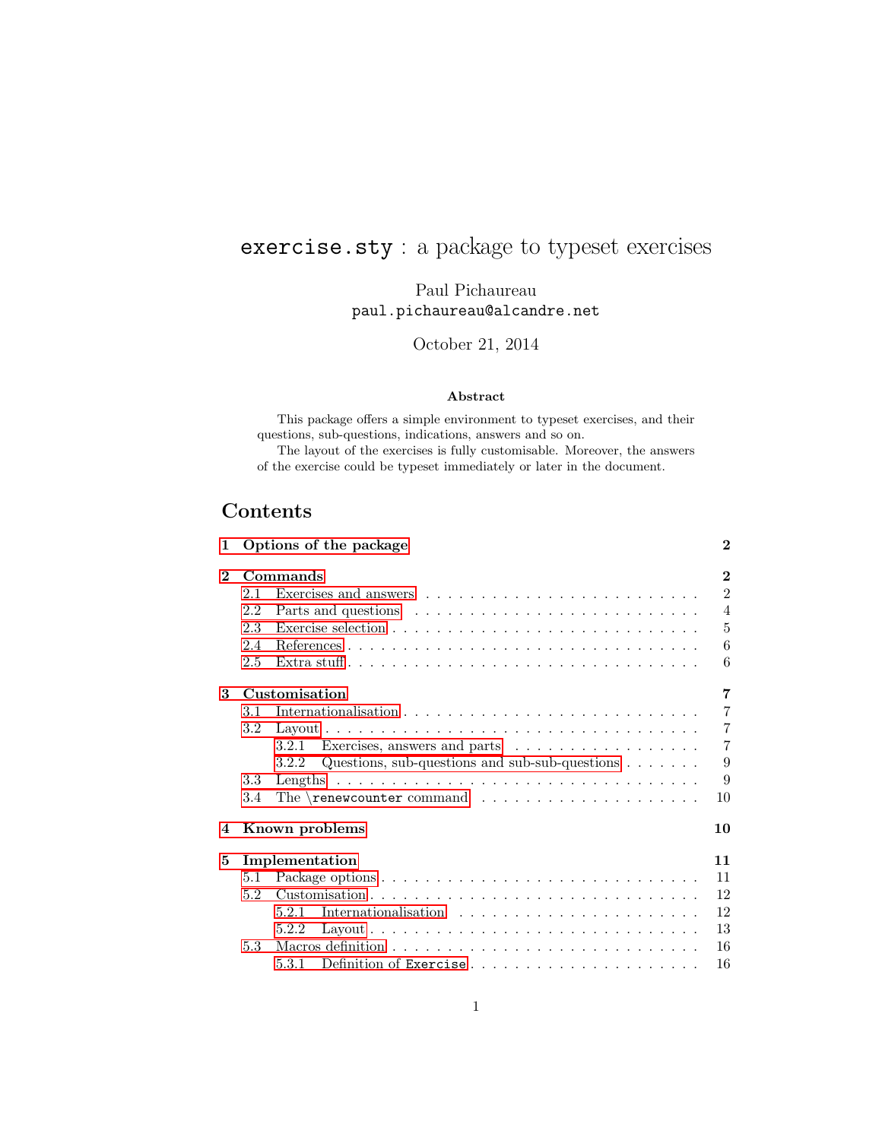# exercise.sty : a package to typeset exercises

Paul Pichaureau paul.pichaureau@alcandre.net

October 21, 2014

### Abstract

This package offers a simple environment to typeset exercises, and their questions, sub-questions, indications, answers and so on.

The layout of the exercises is fully customisable. Moreover, the answers of the exercise could be typeset immediately or later in the document.

# Contents

| 1                    |         | Options of the package                                                | $\bf{2}$       |  |
|----------------------|---------|-----------------------------------------------------------------------|----------------|--|
| Commands<br>$\bf{2}$ |         |                                                                       |                |  |
|                      | 2.1     |                                                                       | $\overline{2}$ |  |
|                      | 2.2     |                                                                       | $\overline{4}$ |  |
|                      | 2.3     |                                                                       | 5              |  |
|                      | 2.4     |                                                                       | 6              |  |
|                      | 2.5     |                                                                       | 6              |  |
| 3                    |         | Customisation                                                         | 7              |  |
|                      | 3.1     |                                                                       | $\overline{7}$ |  |
|                      | $3.2\,$ |                                                                       | $\overline{7}$ |  |
|                      |         | 3.2.1                                                                 | $\overline{7}$ |  |
|                      |         | Questions, sub-questions and sub-sub-questions $\dots \dots$<br>3.2.2 | 9              |  |
|                      | 3.3     |                                                                       | 9              |  |
|                      | 3.4     | The $\text{renewcounter command} \dots \dots \dots \dots \dots \dots$ | 10             |  |
| 4                    |         | Known problems                                                        | 10             |  |
| 5                    |         | Implementation                                                        | 11             |  |
|                      | 5.1     |                                                                       | 11             |  |
|                      | 5.2     |                                                                       | 12             |  |
|                      |         | 5.2.1                                                                 | 12             |  |
|                      |         | 5.2.2                                                                 | 13             |  |
|                      | 5.3     |                                                                       | 16             |  |
|                      |         | 5.3.1                                                                 | 16             |  |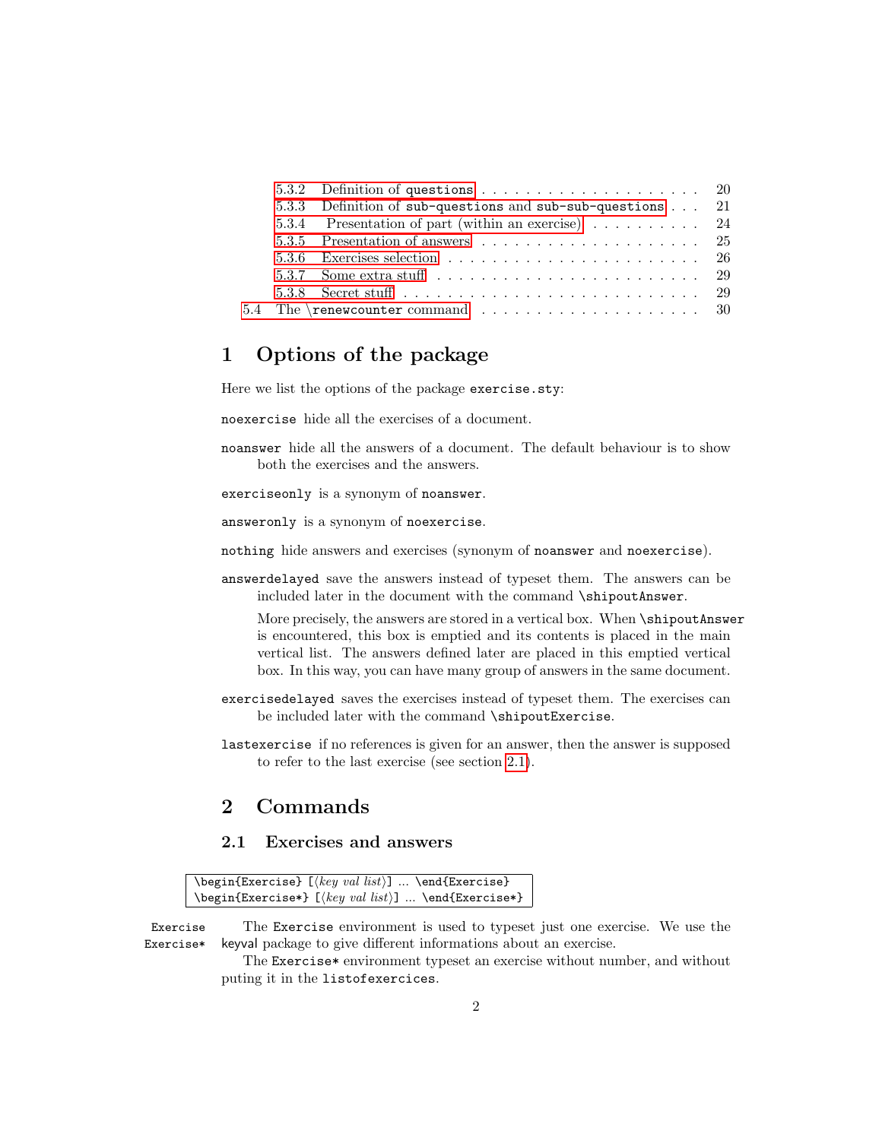<span id="page-1-3"></span>

|  | 5.3.3 Definition of sub-questions and sub-sub-questions 21                                               |  |
|--|----------------------------------------------------------------------------------------------------------|--|
|  | 5.3.4 Presentation of part (within an exercise) 24                                                       |  |
|  | 5.3.5 Presentation of answers $\ldots \ldots \ldots \ldots \ldots \ldots \ldots$ 25                      |  |
|  |                                                                                                          |  |
|  | 5.3.7 Some extra stuff $\ldots$ , $\ldots$ , $\ldots$ , $\ldots$ , $\ldots$ , $\ldots$ , $\ldots$ , $29$ |  |
|  |                                                                                                          |  |
|  |                                                                                                          |  |

## <span id="page-1-0"></span>1 Options of the package

Here we list the options of the package exercise.sty:

noexercise hide all the exercises of a document.

noanswer hide all the answers of a document. The default behaviour is to show both the exercises and the answers.

exerciseonly is a synonym of noanswer.

answeronly is a synonym of noexercise.

nothing hide answers and exercises (synonym of noanswer and noexercise).

answerdelayed save the answers instead of typeset them. The answers can be included later in the document with the command \shipoutAnswer.

More precisely, the answers are stored in a vertical box. When \shipoutAnswer is encountered, this box is emptied and its contents is placed in the main vertical list. The answers defined later are placed in this emptied vertical box. In this way, you can have many group of answers in the same document.

- exercisedelayed saves the exercises instead of typeset them. The exercises can be included later with the command \shipoutExercise.
- lastexercise if no references is given for an answer, then the answer is supposed to refer to the last exercise (see section [2.1\)](#page-2-0).

# <span id="page-1-1"></span>2 Commands

### <span id="page-1-2"></span>2.1 Exercises and answers

```
\begin{array}{r} \texttt{\&e} \end{array} [\texttt{\&e} \end{array} ... \end{array} \texttt{\&e}] ... \end{array}\begin{Exercise*} [hkey val listi] ... \end{Exercise*}
```
Exercise The Exercise environment is used to typeset just one exercise. We use the Exercise\* keyval package to give different informations about an exercise.

> The Exercise\* environment typeset an exercise without number, and without puting it in the listofexercices.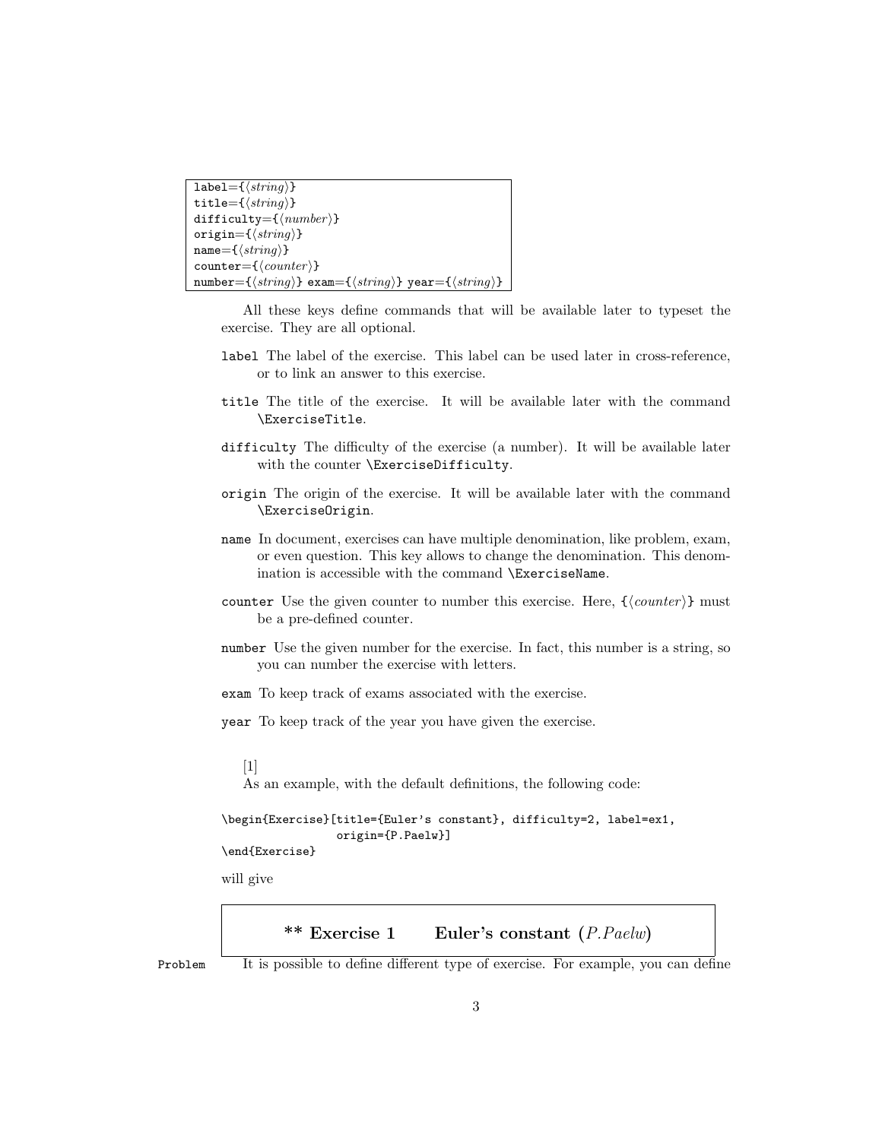```
label=\{\langle string \rangle\}title=\{\langle string \rangle\}difficulty=\{\langle number \rangle\}origin=\{\langle string \rangle\}name=\{\langle string \rangle\}counter={\langle counter\rangle}number={\langle string \rangle} exam={\langle string \rangle} year={\langle string \rangle}
```
All these keys define commands that will be available later to typeset the exercise. They are all optional.

- label The label of the exercise. This label can be used later in cross-reference, or to link an answer to this exercise.
- title The title of the exercise. It will be available later with the command \ExerciseTitle.
- difficulty The difficulty of the exercise (a number). It will be available later with the counter \ExerciseDifficulty.
- origin The origin of the exercise. It will be available later with the command \ExerciseOrigin.
- name In document, exercises can have multiple denomination, like problem, exam, or even question. This key allows to change the denomination. This denomination is accessible with the command \ExerciseName.
- counter Use the given counter to number this exercise. Here,  ${\langle \langle counter \rangle}$  must be a pre-defined counter.
- number Use the given number for the exercise. In fact, this number is a string, so you can number the exercise with letters.
- exam To keep track of exams associated with the exercise.
- year To keep track of the year you have given the exercise.

### $[1]$

As an example, with the default definitions, the following code:

```
\begin{Exercise}[title={Euler's constant}, difficulty=2, label=ex1,
                 origin={P.Paelw}]
```
\end{Exercise}

<span id="page-2-0"></span>will give

\*\* Exercise 1 Euler's constant  $(P.Paelw)$ 

Problem It is possible to define different type of exercise. For example, you can define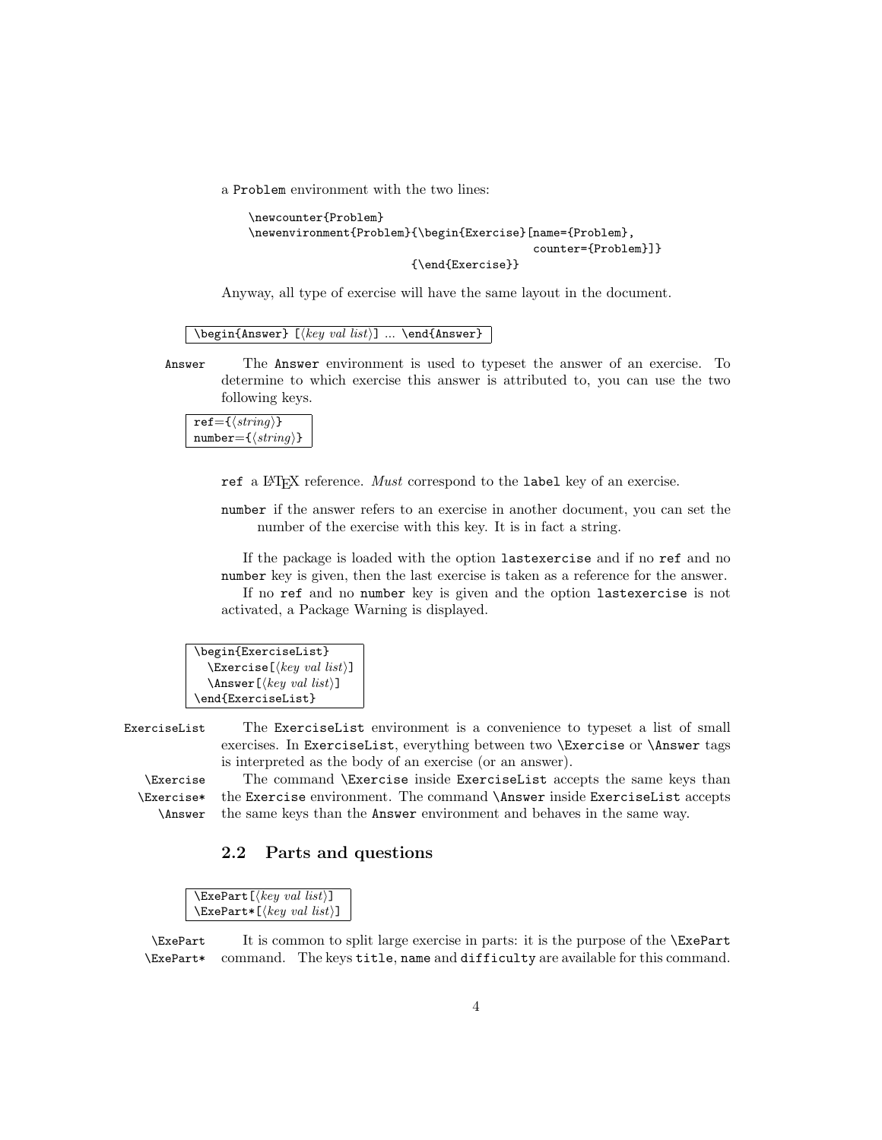<span id="page-3-1"></span>a Problem environment with the two lines:

```
\newcounter{Problem}
\newenvironment{Problem}{\begin{Exercise}[name={Problem},
                                           counter={Problem}]}
                        {\end{Exercise}}
```
Anyway, all type of exercise will have the same layout in the document.

 $\begin{array}{c} \texttt{\footnotesize\{Answer\}} \; [\langle key\ val\ list \rangle] \; ... \; \end{array}$ 

Answer The Answer environment is used to typeset the answer of an exercise. To determine to which exercise this answer is attributed to, you can use the two following keys.

 $ref=\{\langle string \rangle\}$  $number=\{\langle string \rangle\}$ 

ref a L<sup>AT</sup>EX reference. Must correspond to the label key of an exercise.

number if the answer refers to an exercise in another document, you can set the number of the exercise with this key. It is in fact a string.

If the package is loaded with the option lastexercise and if no ref and no number key is given, then the last exercise is taken as a reference for the answer. If no ref and no number key is given and the option lastexercise is not activated, a Package Warning is displayed.

```
\begin{ExerciseList}
  \text{Exercises}[\{key \ val \ list\}]
  \Lambdahswer[\{key val list\}]
\end{ExerciseList}
```
ExerciseList The ExerciseList environment is a convenience to typeset a list of small exercises. In ExerciseList, everything between two \Exercise or \Answer tags is interpreted as the body of an exercise (or an answer).

\Exercise\* \Answer

\Exercise The command \Exercise inside ExerciseList accepts the same keys than the Exercise environment. The command \Answer inside ExerciseList accepts the same keys than the Answer environment and behaves in the same way.

### <span id="page-3-0"></span>2.2 Parts and questions

```
\texttt{\textbackslash}ExePart [\langle key\ val\ list \rangle]
\text{ExePart*}[\text{key val list}]
```
\ExePart It is common to split large exercise in parts: it is the purpose of the \ExePart \ExePart\* command. The keys title, name and difficulty are available for this command.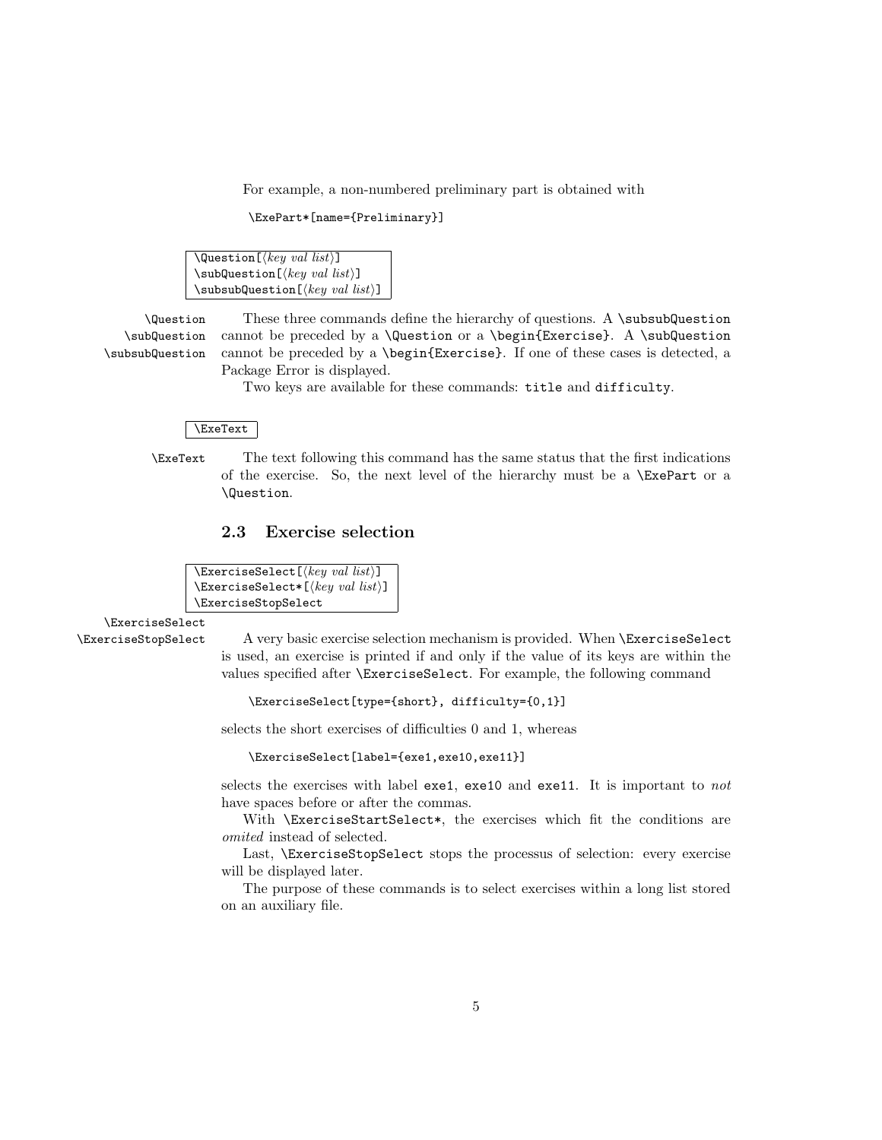<span id="page-4-1"></span>For example, a non-numbered preliminary part is obtained with

```
\ExePart*[name={Preliminary}]
```
 $\text{Question}[\text{key val list}]$  $\substack{\text{key val}}\text{list}}$ \subsubQuestion[ $\{key\ val\ list\rangle$ ]

\Question These three commands define the hierarchy of questions. A \subsubQuestion \subQuestion \subsubQuestion cannot be preceded by a  $\Question$  or a  $\begin{array}{c} A \sub$ cannot be preceded by a \begin{Exercise}. If one of these cases is detected, a Package Error is displayed.

Two keys are available for these commands: title and difficulty.

#### \ExeText

\ExeText The text following this command has the same status that the first indications of the exercise. So, the next level of the hierarchy must be a \ExePart or a \Question.

### <span id="page-4-0"></span>2.3 Exercise selection

 $\text{ExercisesSelect}$  (*key val list*)]  $\text{ExercisesSelect*}[\text{key val list}]$ \ExerciseStopSelect

\ExerciseSelect

\ExerciseStopSelect A very basic exercise selection mechanism is provided. When \ExerciseSelect is used, an exercise is printed if and only if the value of its keys are within the values specified after \ExerciseSelect. For example, the following command

\ExerciseSelect[type={short}, difficulty={0,1}]

selects the short exercises of difficulties 0 and 1, whereas

\ExerciseSelect[label={exe1,exe10,exe11}]

selects the exercises with label exe1, exe10 and exe11. It is important to not have spaces before or after the commas.

With **\ExerciseStartSelect\***, the exercises which fit the conditions are omited instead of selected.

Last, \ExerciseStopSelect stops the processus of selection: every exercise will be displayed later.

The purpose of these commands is to select exercises within a long list stored on an auxiliary file.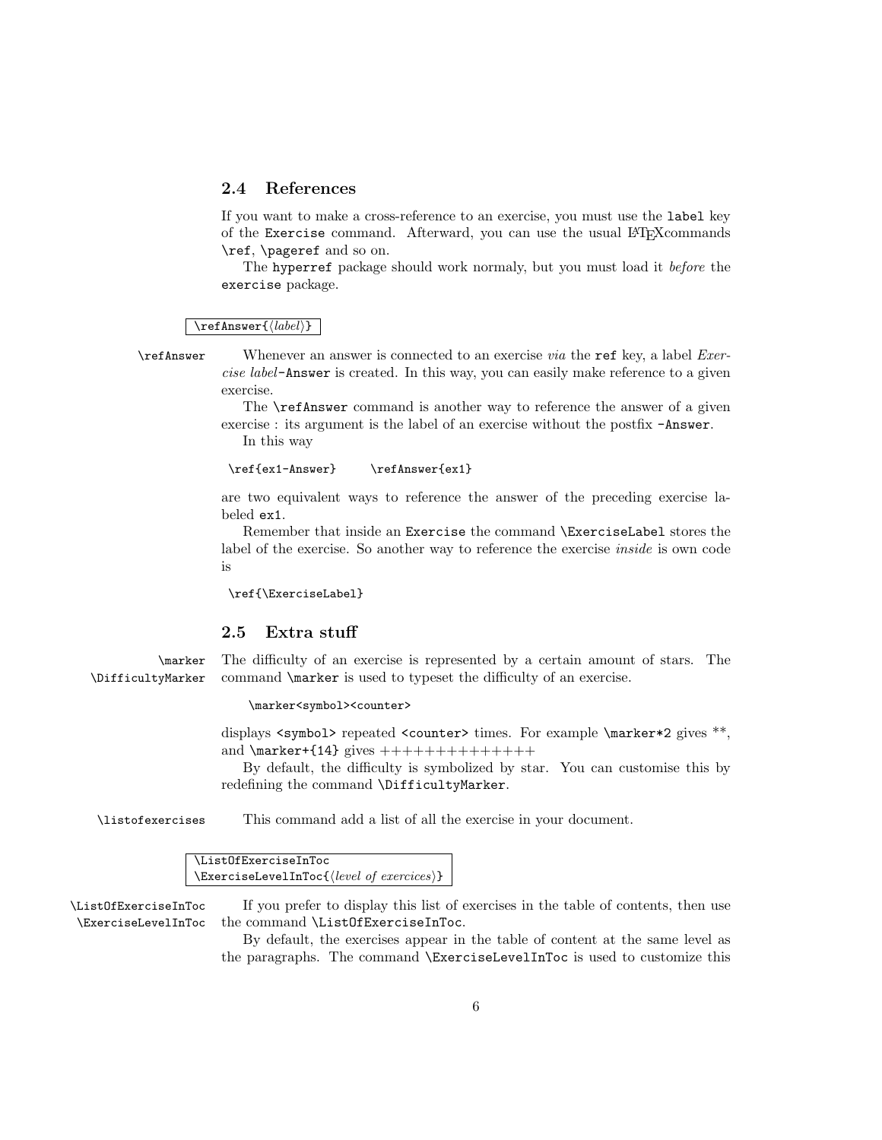### <span id="page-5-0"></span>2.4 References

If you want to make a cross-reference to an exercise, you must use the label key of the Exercise command. Afterward, you can use the usual LATEXcommands \ref, \pageref and so on.

The hyperref package should work normaly, but you must load it before the exercise package.

#### $\ref{label}}$

\refAnswer Whenever an answer is connected to an exercise via the ref key, a label Exercise label-Answer is created. In this way, you can easily make reference to a given exercise.

> The \refAnswer command is another way to reference the answer of a given exercise : its argument is the label of an exercise without the postfix -Answer. In this way

```
\ref{ex1-Answer} \refAnswer{ex1}
```
are two equivalent ways to reference the answer of the preceding exercise labeled ex1.

Remember that inside an Exercise the command \ExerciseLabel stores the label of the exercise. So another way to reference the exercise inside is own code is

\ref{\ExerciseLabel}

### <span id="page-5-1"></span>2.5 Extra stuff

\marker The difficulty of an exercise is represented by a certain amount of stars. The \DifficultyMarker command \marker is used to typeset the difficulty of an exercise.

#### \marker<symbol><counter>

displays  $\langle$  symbol> repeated  $\langle$  counter> times. For example  $\langle$  marker\*2 gives \*\*. and  $\mark$ marker+{14} gives ++++++++++++++++

By default, the difficulty is symbolized by star. You can customise this by redefining the command \DifficultyMarker.

\listofexercises This command add a list of all the exercise in your document.

\ListOfExerciseInToc  $\text{ExerciseLevelInfoc}\{\text{level of exercises}\}$ 

\ListOfExerciseInToc If you prefer to display this list of exercises in the table of contents, then use \ExerciseLevelInToc the command \ListOfExerciseInToc.

> By default, the exercises appear in the table of content at the same level as the paragraphs. The command \ExerciseLevelInToc is used to customize this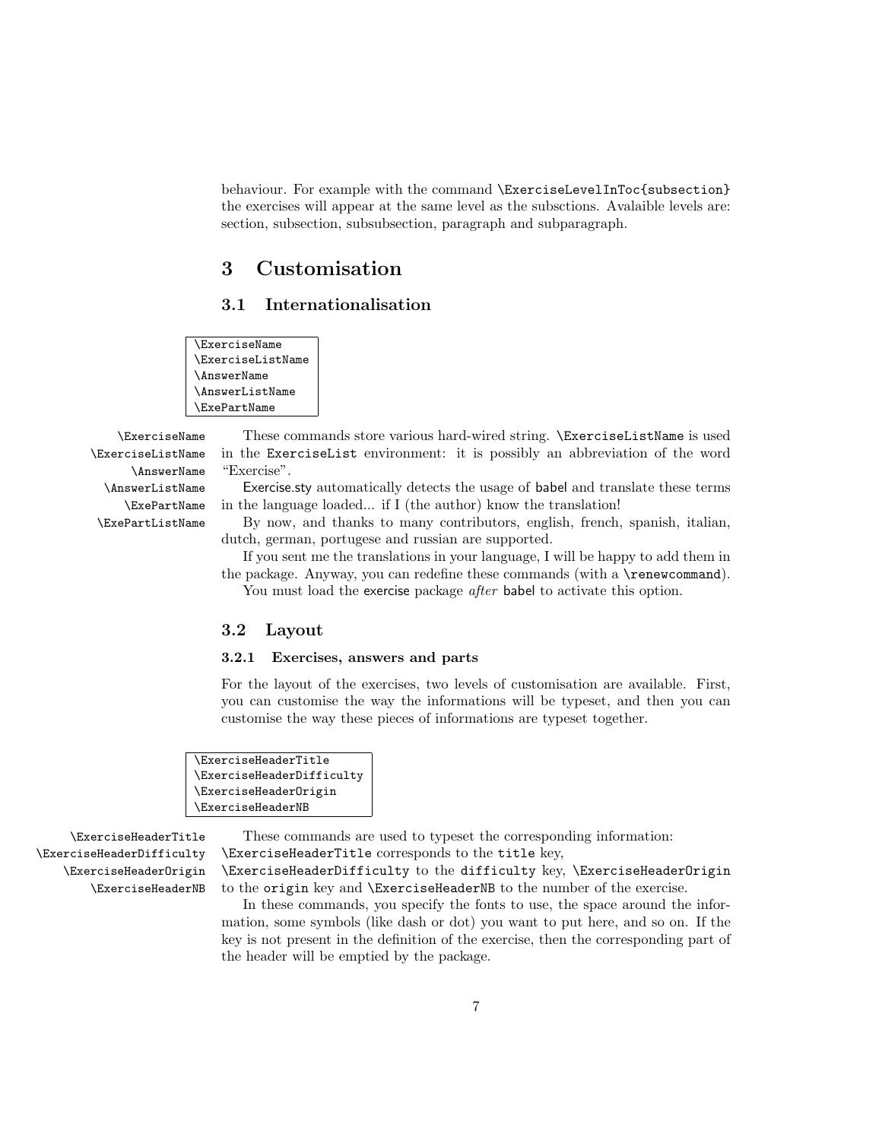behaviour. For example with the command \ExerciseLevelInToc{subsection} the exercises will appear at the same level as the subsctions. Avalaible levels are: section, subsection, subsubsection, paragraph and subparagraph.

# <span id="page-6-0"></span>3 Customisation

### <span id="page-6-1"></span>3.1 Internationalisation

\ExerciseName \ExerciseListName \AnswerName \AnswerListName \ExePartName

\ExerciseListName \AnswerName \AnswerListName \ExePartName \ExePartListName

\ExerciseName These commands store various hard-wired string. \ExerciseListName is used in the ExerciseList environment: it is possibly an abbreviation of the word "Exercise".

> Exercise.sty automatically detects the usage of babel and translate these terms in the language loaded... if I (the author) know the translation!

> By now, and thanks to many contributors, english, french, spanish, italian, dutch, german, portugese and russian are supported.

> If you sent me the translations in your language, I will be happy to add them in the package. Anyway, you can redefine these commands (with a \renewcommand). You must load the exercise package *after* babel to activate this option.

#### <span id="page-6-2"></span>3.2 Layout

#### <span id="page-6-3"></span>3.2.1 Exercises, answers and parts

For the layout of the exercises, two levels of customisation are available. First, you can customise the way the informations will be typeset, and then you can customise the way these pieces of informations are typeset together.

```
\ExerciseHeaderTitle
\ExerciseHeaderDifficulty
\ExerciseHeaderOrigin
\ExerciseHeaderNB
```
\ExerciseHeaderDifficulty \ExerciseHeaderOrigin \ExerciseHeaderNB

\ExerciseHeaderTitle These commands are used to typeset the corresponding information: \ExerciseHeaderTitle corresponds to the title key,

> \ExerciseHeaderDifficulty to the difficulty key, \ExerciseHeaderOrigin to the origin key and \ExerciseHeaderNB to the number of the exercise.

In these commands, you specify the fonts to use, the space around the information, some symbols (like dash or dot) you want to put here, and so on. If the key is not present in the definition of the exercise, then the corresponding part of the header will be emptied by the package.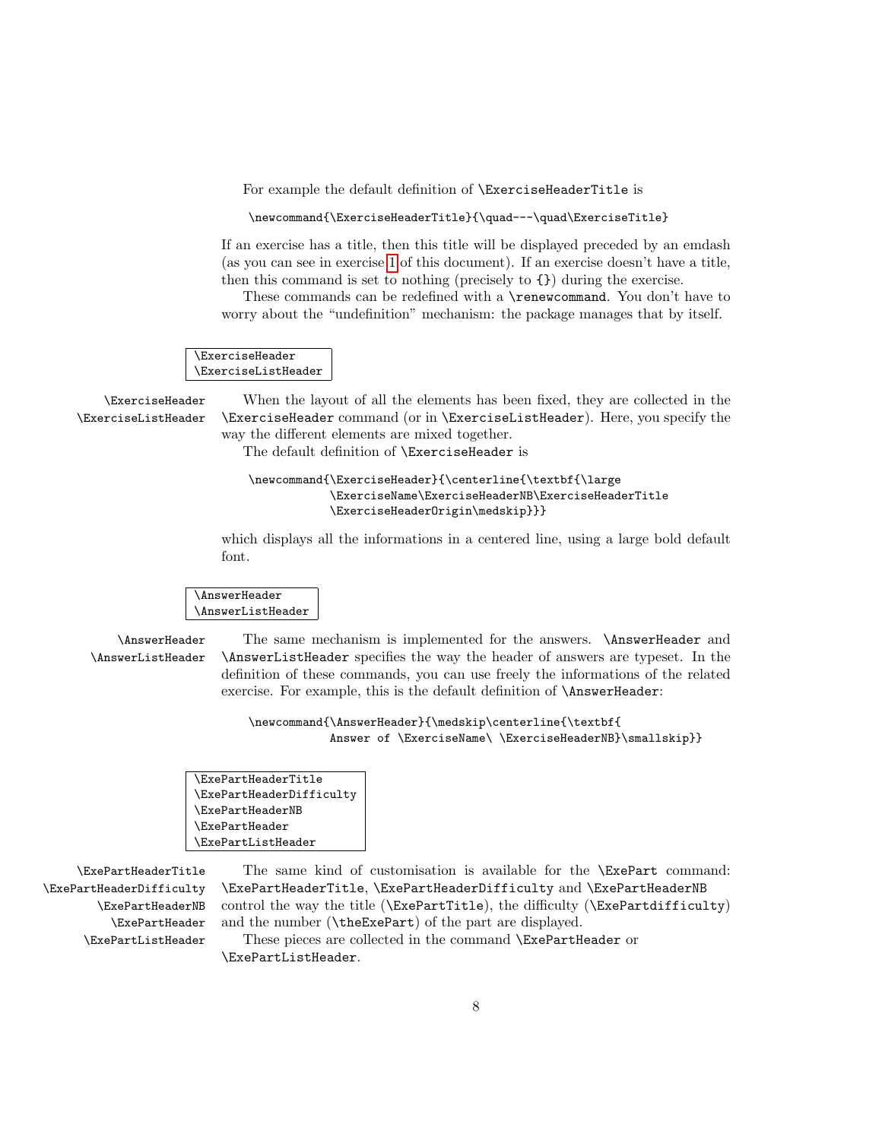For example the default definition of \ExerciseHeaderTitle is

\newcommand{\ExerciseHeaderTitle}{\quad---\quad\ExerciseTitle}

If an exercise has a title, then this title will be displayed preceded by an emdash (as you can see in exercise [1](#page-2-0) of this document). If an exercise doesn't have a title, then this command is set to nothing (precisely to {}) during the exercise.

These commands can be redefined with a \renewcommand. You don't have to worry about the "undefinition" mechanism: the package manages that by itself.

\ExerciseHeader \ExerciseListHeader

\ExerciseHeader When the layout of all the elements has been fixed, they are collected in the \ExerciseListHeader \ExerciseHeader command (or in \ExerciseListHeader). Here, you specify the way the different elements are mixed together.

The default definition of \ExerciseHeader is

#### \newcommand{\ExerciseHeader}{\centerline{\textbf{\large \ExerciseName\ExerciseHeaderNB\ExerciseHeaderTitle \ExerciseHeaderOrigin\medskip}}}

which displays all the informations in a centered line, using a large bold default font.

\AnswerHeader \AnswerListHeader

\AnswerHeader The same mechanism is implemented for the answers. \AnswerHeader and \AnswerListHeader \AnswerListHeader specifies the way the header of answers are typeset. In the definition of these commands, you can use freely the informations of the related exercise. For example, this is the default definition of \AnswerHeader:

> \newcommand{\AnswerHeader}{\medskip\centerline{\textbf{ Answer of \ExerciseName\ \ExerciseHeaderNB}\smallskip}}

| <b>\ExePartHeaderTitle</b> |
|----------------------------|
| \ExePartHeaderDifficulty   |
| <b>\ExePartHeaderNB</b>    |
| <b>\ExePartHeader</b>      |
| <b>\ExePartListHeader</b>  |
|                            |

\ExePartHeaderDifficulty \ExePartHeaderNB \ExePartHeader \ExePartListHeader

\ExePartHeaderTitle The same kind of customisation is available for the \ExePart command: \ExePartHeaderTitle, \ExePartHeaderDifficulty and \ExePartHeaderNB control the way the title (\ExePartTitle), the difficulty (\ExePartdifficulty) and the number (\theExePart) of the part are displayed.

These pieces are collected in the command \ExePartHeader or \ExePartListHeader.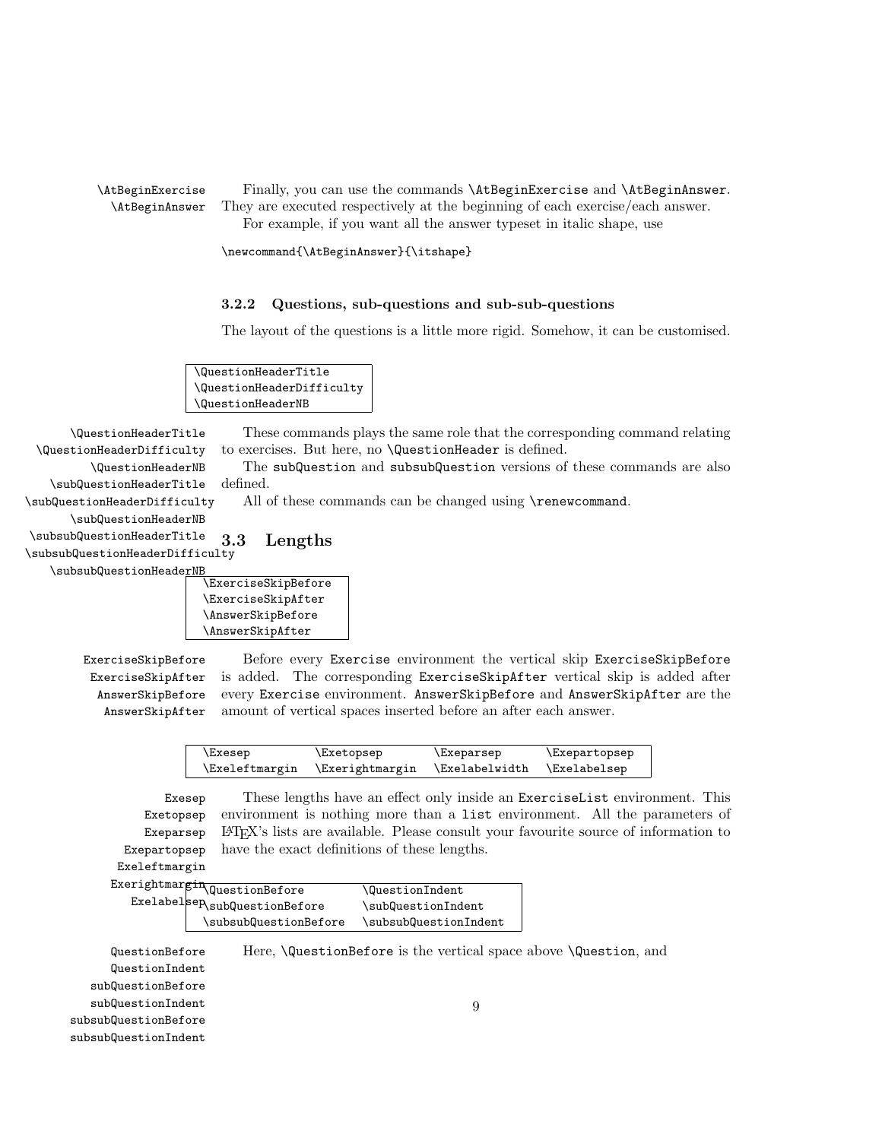\AtBeginExercise Finally, you can use the commands \AtBeginExercise and \AtBeginAnswer. \AtBeginAnswer They are executed respectively at the beginning of each exercise/each answer. For example, if you want all the answer typeset in italic shape, use

\newcommand{\AtBeginAnswer}{\itshape}

#### <span id="page-8-0"></span>3.2.2 Questions, sub-questions and sub-sub-questions

The layout of the questions is a little more rigid. Somehow, it can be customised.

\QuestionHeaderTitle \QuestionHeaderDifficulty \QuestionHeaderNB

\QuestionHeaderTitle These commands plays the same role that the corresponding command relating \QuestionHeaderDifficulty to exercises. But here, no \QuestionHeader is defined.

\subQuestionHeaderTitle The subQuestion and subsubQuestion versions of these commands are also defined.

<span id="page-8-1"></span>All of these commands can be changed using **\renewcommand.** 

\subQuestionHeaderDifficulty \subQuestionHeaderNB

\QuestionHeaderNB

\subsubQuestionHeaderTitle \subsubQuestionHeaderDifficulty \subsubQuestionHeaderN 3.3 Lengths





ExerciseSkipAfter AnswerSkipBefore AnswerSkipAfter

ExerciseSkipBefore Before every Exercise environment the vertical skip ExerciseSkipBefore is added. The corresponding ExerciseSkipAfter vertical skip is added after every Exercise environment. AnswerSkipBefore and AnswerSkipAfter are the amount of vertical spaces inserted before an after each answer.

| \Exesep        | \Exetopsep             | \Exeparsep            | Exepartopsep |
|----------------|------------------------|-----------------------|--------------|
| \Exeleftmargin | <b>\Exerightmargin</b> | <b>\Exelabelwidth</b> | \Exelabelsep |

Exesep These lengths have an effect only inside an ExerciseList environment. This Exetopsep Exeparsep Exepartopsep environment is nothing more than a list environment. All the parameters of LATEX's lists are available. Please consult your favourite source of information to have the exact definitions of these lengths.

Exeleftmargin

| $\texttt{exerightmargin} \overline{\texttt{QuestionBefore}}$ | <b>QuestionIndent</b> |
|--------------------------------------------------------------|-----------------------|
| $\texttt{Exelabelsep}\xspace_\texttt{subQuestionBefore}$     | \subQuestionIndent    |
| \subsubQuestionBefore                                        | \subsubQuestionIndent |

QuestionBefore Here, \QuestionBefore is the vertical space above \Question, and QuestionIndent subQuestionBefore subQuestionIndent subsubQuestionBefore subsubQuestionIndent 9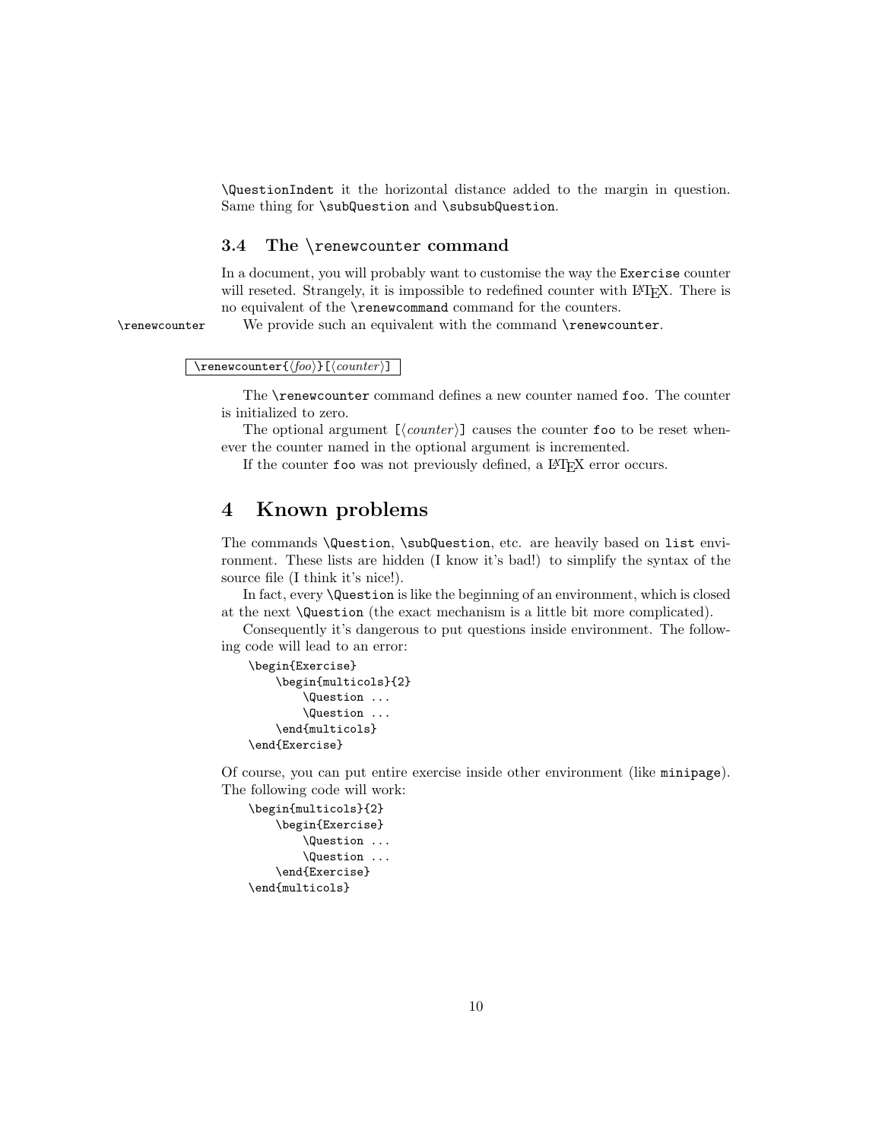\QuestionIndent it the horizontal distance added to the margin in question. Same thing for \subQuestion and \subsubQuestion.

#### <span id="page-9-0"></span>3.4 The \renewcounter command

In a document, you will probably want to customise the way the Exercise counter will reseted. Strangely, it is impossible to redefined counter with LAT<sub>EX</sub>. There is no equivalent of the \renewcommand command for the counters.

\renewcounter We provide such an equivalent with the command \renewcounter.

 $\verb|\renewcounter{<|foo\rangle}[[\mathit{counter}]]$ 

The \renewcounter command defines a new counter named foo. The counter is initialized to zero.

The optional argument  $[\langle counter \rangle]$  causes the counter foo to be reset whenever the counter named in the optional argument is incremented.

If the counter foo was not previously defined, a L<sup>AT</sup><sub>E</sub>X error occurs.

## <span id="page-9-1"></span>4 Known problems

The commands \Question, \subQuestion, etc. are heavily based on list environment. These lists are hidden (I know it's bad!) to simplify the syntax of the source file (I think it's nice!).

In fact, every \Question is like the beginning of an environment, which is closed at the next \Question (the exact mechanism is a little bit more complicated).

Consequently it's dangerous to put questions inside environment. The following code will lead to an error:

```
\begin{Exercise}
    \begin{multicols}{2}
        \Question ...
        \Question ...
    \end{multicols}
\end{Exercise}
```
Of course, you can put entire exercise inside other environment (like minipage). The following code will work:

```
\begin{multicols}{2}
    \begin{Exercise}
        \Question ...
        \Question ...
    \end{Exercise}
\end{multicols}
```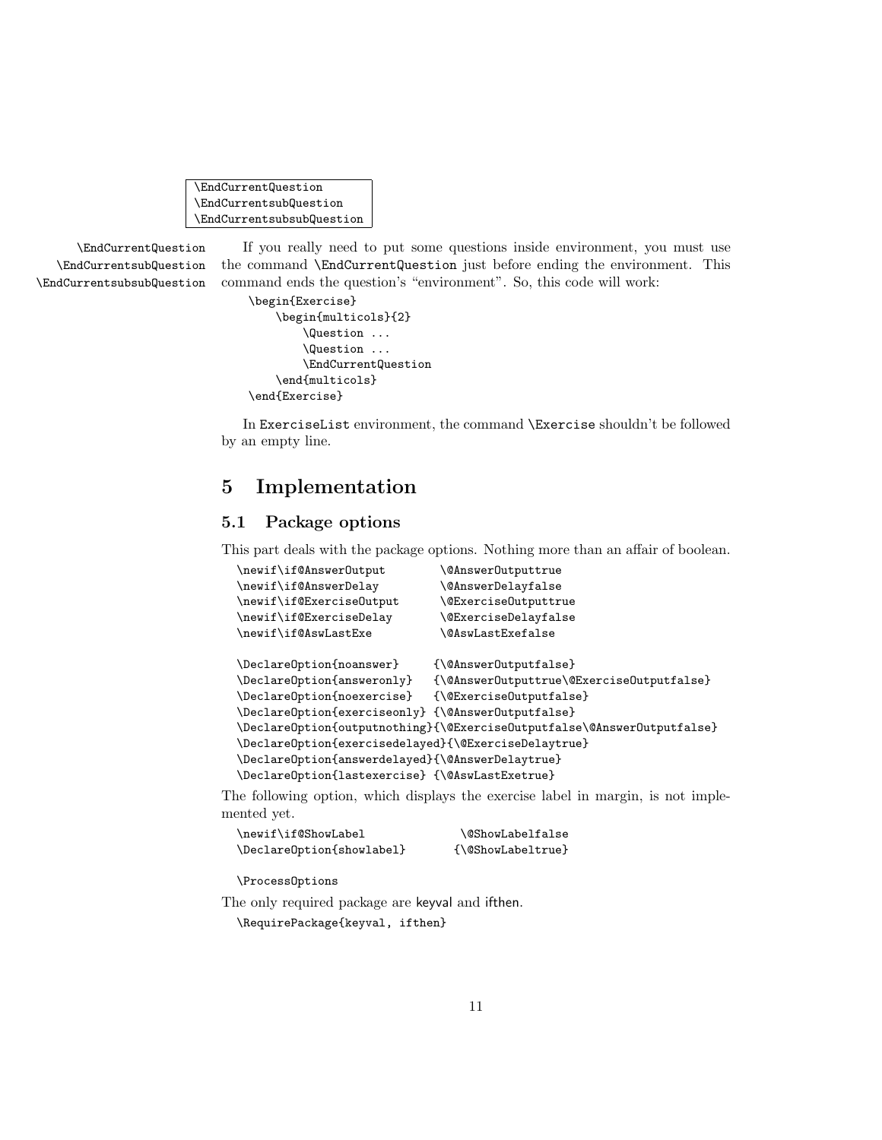<span id="page-10-2"></span>\EndCurrentQuestion \EndCurrentsubQuestion \EndCurrentsubsubQuestion

\EndCurrentsubQuestion \EndCurrentsubsubQuestion

\EndCurrentQuestion If you really need to put some questions inside environment, you must use the command \EndCurrentQuestion just before ending the environment. This command ends the question's "environment". So, this code will work:

```
\begin{Exercise}
    \begin{multicols}{2}
        \Question ...
        \Question ...
        \EndCurrentQuestion
    \end{multicols}
\end{Exercise}
```
In ExerciseList environment, the command \Exercise shouldn't be followed by an empty line.

# <span id="page-10-0"></span>5 Implementation

## <span id="page-10-1"></span>5.1 Package options

This part deals with the package options. Nothing more than an affair of boolean.

| \newif\if@Answer0utput                               | <b>\@AnswerOutputtrue</b>                                               |
|------------------------------------------------------|-------------------------------------------------------------------------|
| \newif\if@AnswerDelay                                | <b>\@AnswerDelayfalse</b>                                               |
| \newif\if@ExerciseOutput                             | <b><i><u>OExerciseOutputtrue</u></i></b>                                |
| \newif\if@ExerciseDelay                              | <b>\@ExerciseDelayfalse</b>                                             |
| \newif\if@AswLastExe                                 | <b>\@AswLastExefalse</b>                                                |
| \Declare0ption{noanswer}                             | {\@Answer0utputfalse}                                                   |
| \Declare0ption{answeronly}                           | {\@Answer0utputtrue\@Exercise0utputfalse}                               |
| \Declare0ption{noexercise}                           | {\@ExerciseOutputfalse}                                                 |
| \Declare0ption{exerciseonly} {\@Answer0utputfalse}   |                                                                         |
|                                                      | \DeclareOption{outputnothing}{\@ExerciseOutputfalse\@AnswerOutputfalse} |
| \Declare0ption{exercisedelayed}{\@ExerciseDelaytrue} |                                                                         |
| \Declare0ption{answerdelayed}{\@AnswerDelaytrue}     |                                                                         |
| \Declare0ption{lastexercise} {\@AswLastExetrue}      |                                                                         |

The following option, which displays the exercise label in margin, is not implemented yet.

```
\newif\if@ShowLabel \@ShowLabelfalse
\DeclareOption{showlabel} {\@ShowLabeltrue}
```
\ProcessOptions

The only required package are keyval and ifthen.

\RequirePackage{keyval, ifthen}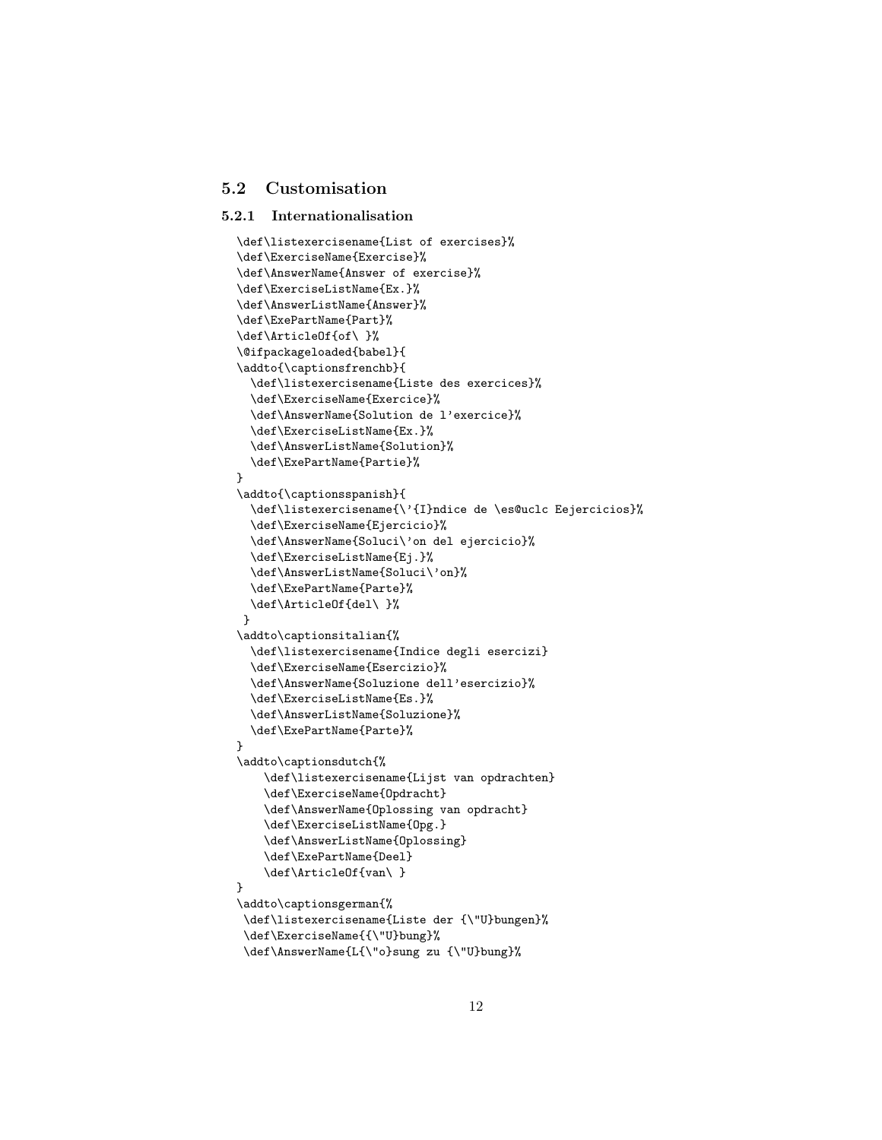### <span id="page-11-2"></span><span id="page-11-0"></span>5.2 Customisation

#### <span id="page-11-1"></span>5.2.1 Internationalisation

```
\def\listexercisename{List of exercises}%
\def\ExerciseName{Exercise}%
\def\AnswerName{Answer of exercise}%
\def\ExerciseListName{Ex.}%
\def\AnswerListName{Answer}%
\def\ExePartName{Part}%
\def\ArticleOf{of\ }%
\@ifpackageloaded{babel}{
\addto{\captionsfrenchb}{
  \def\listexercisename{Liste des exercices}%
  \def\ExerciseName{Exercice}%
  \def\AnswerName{Solution de l'exercice}%
  \def\ExerciseListName{Ex.}%
  \def\AnswerListName{Solution}%
  \def\ExePartName{Partie}%
}
\addto{\captionsspanish}{
  \def\listexercisename{\'{I}ndice de \es@uclc Eejercicios}%
  \def\ExerciseName{Ejercicio}%
  \def\AnswerName{Soluci\'on del ejercicio}%
  \def\ExerciseListName{Ej.}%
  \def\AnswerListName{Soluci\'on}%
  \def\ExePartName{Parte}%
  \def\ArticleOf{del\ }%
 }
\addto\captionsitalian{%
  \def\listexercisename{Indice degli esercizi}
  \def\ExerciseName{Esercizio}%
  \def\AnswerName{Soluzione dell'esercizio}%
  \def\ExerciseListName{Es.}%
  \def\AnswerListName{Soluzione}%
  \def\ExePartName{Parte}%
}
\addto\captionsdutch{%
    \def\listexercisename{Lijst van opdrachten}
    \def\ExerciseName{Opdracht}
    \def\AnswerName{Oplossing van opdracht}
    \def\ExerciseListName{Opg.}
    \def\AnswerListName{Oplossing}
    \def\ExePartName{Deel}
    \def\ArticleOf{van\ }
}
\addto\captionsgerman{%
 \def\listexercisename{Liste der {\"U}bungen}%
 \def\ExerciseName{{\"U}bung}%
 \def\AnswerName{L{\"o}sung zu {\"U}bung}%
```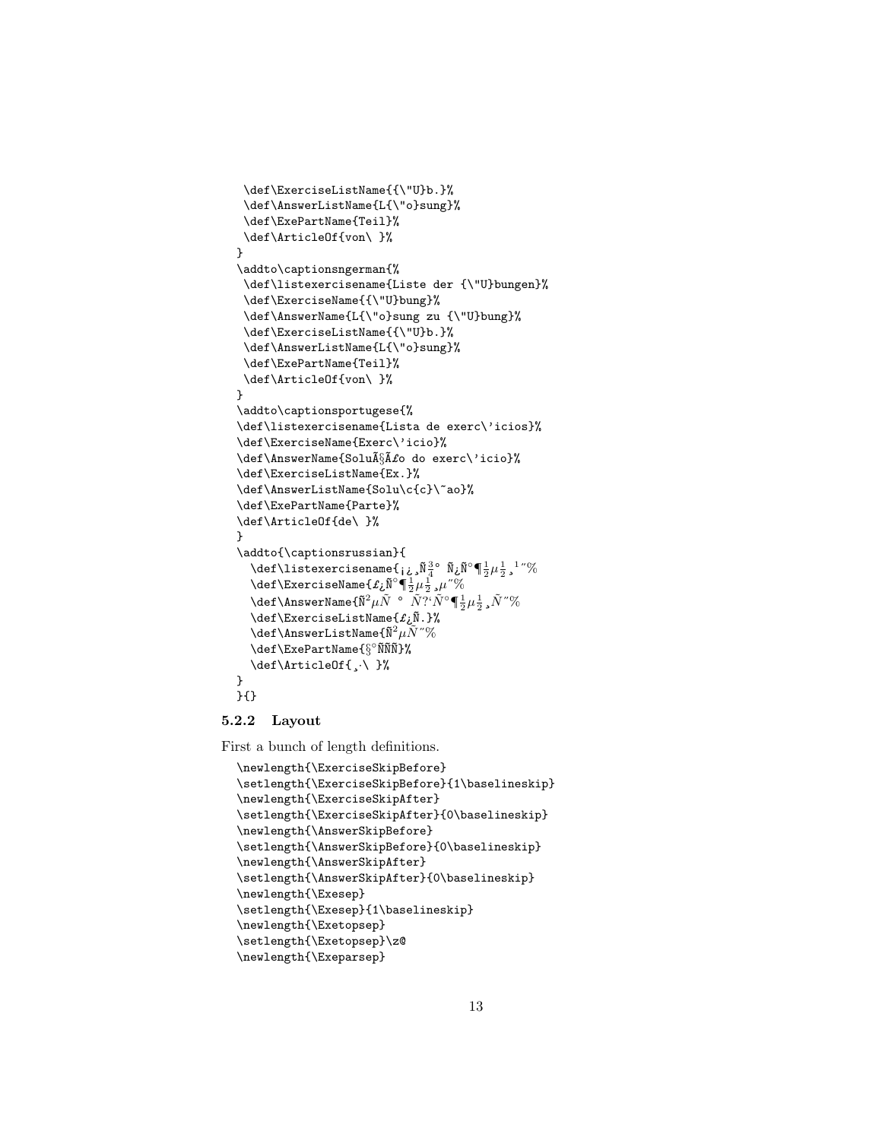```
\def\ExerciseListName{{\"U}b.}%
  \def\AnswerListName{L{\"o}sung}%
  \def\ExePartName{Teil}%
 \def\ArticleOf{von\ }%
}
\addto\captionsngerman{%
 \def\listexercisename{Liste der {\"U}bungen}%
 \def\ExerciseName{{\"U}bung}%
 \def\AnswerName{L{\"o}sung zu {\"U}bung}%
 \def\ExerciseListName{{\"U}b.}%
 \def\AnswerListName{L{\"o}sung}%
 \def\ExePartName{Teil}%
 \def\ArticleOf{von\ }%
}
\addto\captionsportugese{%
\def\listexercisename{Lista de exerc\'icios}%
\def\ExerciseName{Exerc\'icio}%
\def\AnswerName{Solução do exerc\'icio}%
\def\ExerciseListName{Ex.}%
\def\AnswerListName{Solu\c{c}\~ao}%
\def\ExePartName{Parte}%
\def\ArticleOf{de\ }%
}
\addto{\captionsrussian}{
   \def\listexercisename{¡نِيمَ \tilde{\mathbb{N}}دِينَ\tilde{\mathbb{N}}ءِ\tilde{\mathbb{N}}دِينَ \tilde{\mathbb{N}}ء^{\circ} ، \tilde{\mathbb{N}}\texttt{def}\ \texttt{ExerciseName} \{f_\textbf{i}\}^{\text{o}} \P \frac{1}{2}\mu \frac{1}{2} , \mu " \%\def\AnswerName{\tilde{N}^2\mu\tilde{N} \degree \tilde{N}?'\tilde{N}°\P\frac{1}{2}\mu\frac{1}{2} ,\tilde{N}"%
   \det\{\text{ExercisesListName}\{\pmb{f}_i\}\}\setminusdef\setminusAnswerListName\{ \tilde{N}^2 \mu \tilde{N}^{\, \prime \prime} \% \}\text{def}\Exparth\omega_{\S}^{\circ} \def\text{ExePartName}\def\ArticleOf{¸·\ }%
}
}{}
```
### <span id="page-12-0"></span>5.2.2 Layout

First a bunch of length definitions.

```
\newlength{\ExerciseSkipBefore}
\setlength{\ExerciseSkipBefore}{1\baselineskip}
\newlength{\ExerciseSkipAfter}
\setlength{\ExerciseSkipAfter}{0\baselineskip}
\newlength{\AnswerSkipBefore}
\setlength{\AnswerSkipBefore}{0\baselineskip}
\newlength{\AnswerSkipAfter}
\setlength{\AnswerSkipAfter}{0\baselineskip}
\newlength{\Exesep}
\setlength{\Exesep}{1\baselineskip}
\newlength{\Exetopsep}
\setlength{\Exetopsep}\z@
\newlength{\Exeparsep}
```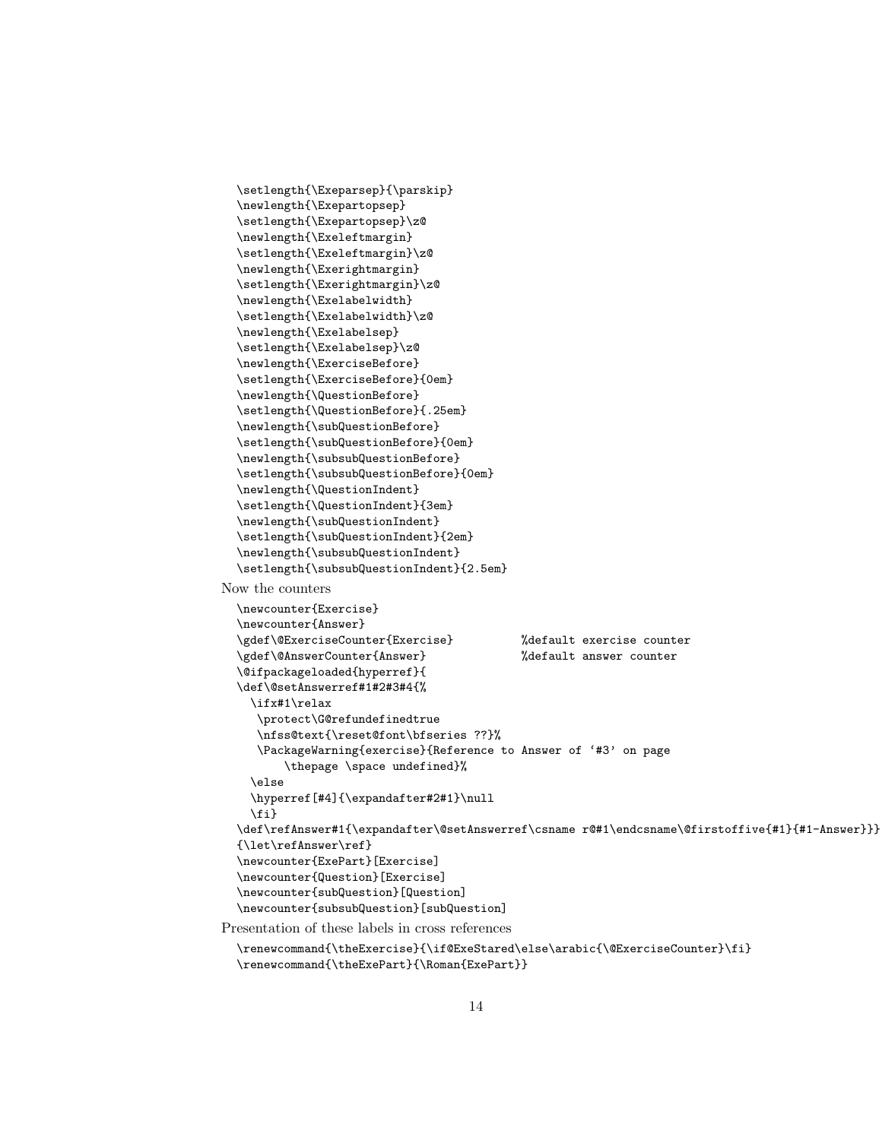```
\setlength{\Exeparsep}{\parskip}
  \newlength{\Exepartopsep}
  \setlength{\Exepartopsep}\z@
  \newlength{\Exeleftmargin}
  \setlength{\Exeleftmargin}\z@
  \newlength{\Exerightmargin}
  \setlength{\Exerightmargin}\z@
  \newlength{\Exelabelwidth}
  \setlength{\Exelabelwidth}\z@
  \newlength{\Exelabelsep}
  \setlength{\Exelabelsep}\z@
  \newlength{\ExerciseBefore}
  \setlength{\ExerciseBefore}{0em}
  \newlength{\QuestionBefore}
  \setlength{\QuestionBefore}{.25em}
  \newlength{\subQuestionBefore}
  \setlength{\subQuestionBefore}{0em}
  \newlength{\subsubQuestionBefore}
  \setlength{\subsubQuestionBefore}{0em}
  \newlength{\QuestionIndent}
  \setlength{\QuestionIndent}{3em}
  \newlength{\subQuestionIndent}
  \setlength{\subQuestionIndent}{2em}
  \newlength{\subsubQuestionIndent}
  \setlength{\subsubQuestionIndent}{2.5em}
Now the counters
  \newcounter{Exercise}
  \newcounter{Answer}
  \gdef\@ExerciseCounter{Exercise} %default exercise counter
  \gdef\@AnswerCounter{Answer} %default answer counter
  \@ifpackageloaded{hyperref}{
  \def\@setAnswerref#1#2#3#4{%
    \ifx#1\relax
     \protect\G@refundefinedtrue
     \nfss@text{\reset@font\bfseries ??}%
     \PackageWarning{exercise}{Reference to Answer of '#3' on page
         \thepage \space undefined}%
    \else
    \hyperref[#4]{\expandafter#2#1}\null
    \fi}
  \def\refAnswer#1{\expandafter\@setAnswerref\csname r@#1\endcsname\@firstoffive{#1}{#1-Answer}}}
  {\let\refAnswer\ref}
  \newcounter{ExePart}[Exercise]
  \newcounter{Question}[Exercise]
  \newcounter{subQuestion}[Question]
  \newcounter{subsubQuestion}[subQuestion]
Presentation of these labels in cross references
  \renewcommand{\theExercise}{\if@ExeStared\else\arabic{\@ExerciseCounter}\fi}
  \renewcommand{\theExePart}{\Roman{ExePart}}
```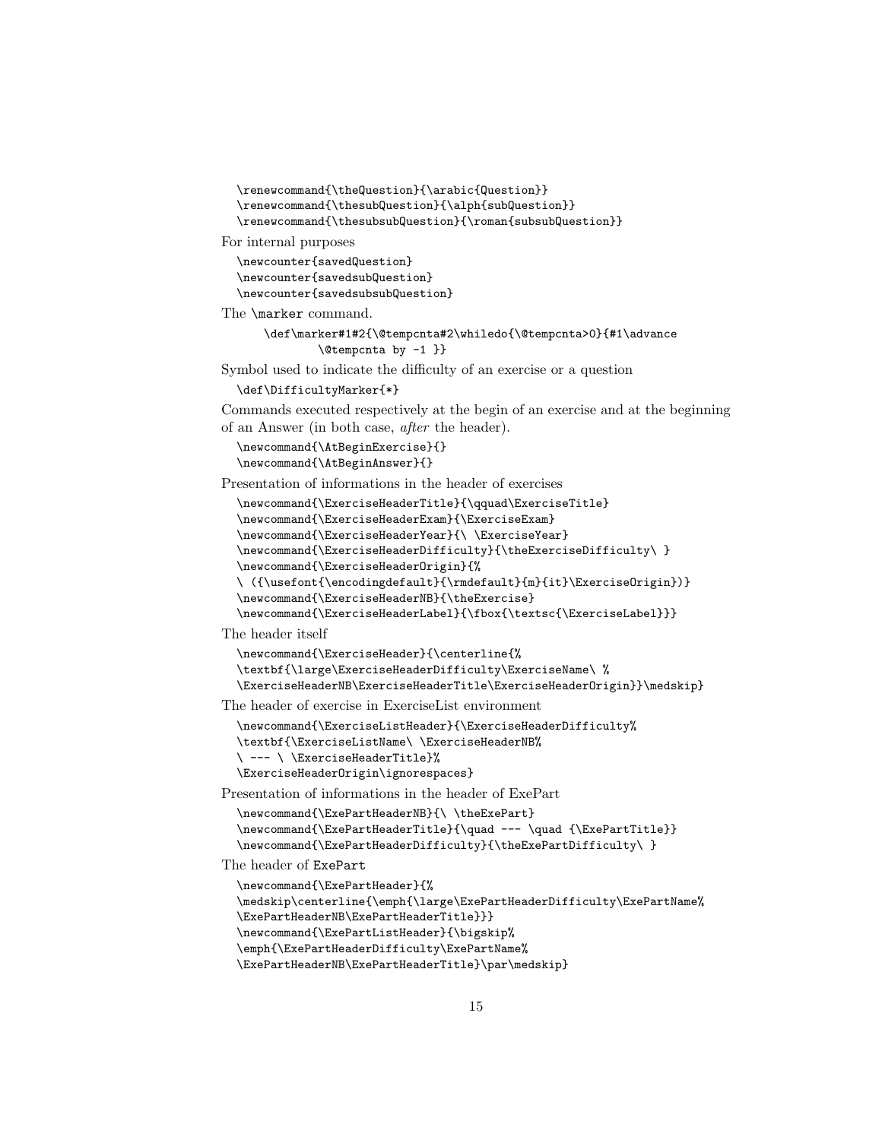```
\renewcommand{\theQuestion}{\arabic{Question}}
\renewcommand{\thesubQuestion}{\alph{subQuestion}}
\renewcommand{\thesubsubQuestion}{\roman{subsubQuestion}}
```
For internal purposes

\newcounter{savedQuestion} \newcounter{savedsubQuestion} \newcounter{savedsubsubQuestion}

The \marker command.

```
\def\marker#1#2{\@tempcnta#2\whiledo{\@tempcnta>0}{#1\advance
        \@tempcnta by -1 }}
```
Symbol used to indicate the difficulty of an exercise or a question

```
\def\DifficultyMarker{*}
```
Commands executed respectively at the begin of an exercise and at the beginning of an Answer (in both case, after the header).

```
\newcommand{\AtBeginExercise}{}
\newcommand{\AtBeginAnswer}{}
```
Presentation of informations in the header of exercises

```
\newcommand{\ExerciseHeaderTitle}{\qquad\ExerciseTitle}
\newcommand{\ExerciseHeaderExam}{\ExerciseExam}
\newcommand{\ExerciseHeaderYear}{\ \ExerciseYear}
\newcommand{\ExerciseHeaderDifficulty}{\theExerciseDifficulty\ }
\newcommand{\ExerciseHeaderOrigin}{%
\ ({\usefont{\encodingdefault}{\rmdefault}{m}{it}\ExerciseOrigin})}
\newcommand{\ExerciseHeaderNB}{\theExercise}
```
\newcommand{\ExerciseHeaderLabel}{\fbox{\textsc{\ExerciseLabel}}}

The header itself

\newcommand{\ExerciseHeader}{\centerline{% \textbf{\large\ExerciseHeaderDifficulty\ExerciseName\ % \ExerciseHeaderNB\ExerciseHeaderTitle\ExerciseHeaderOrigin}}\medskip}

The header of exercise in ExerciseList environment

```
\newcommand{\ExerciseListHeader}{\ExerciseHeaderDifficulty%
\textbf{\ExerciseListName\ \ExerciseHeaderNB%
\ --- \ \ExerciseHeaderTitle}%
\ExerciseHeaderOrigin\ignorespaces}
```
Presentation of informations in the header of ExePart

```
\newcommand{\ExePartHeaderNB}{\ \theExePart}
\newcommand{\ExePartHeaderTitle}{\quad --- \quad {\ExePartTitle}}
\newcommand{\ExePartHeaderDifficulty}{\theExePartDifficulty\ }
```
The header of ExePart

```
\newcommand{\ExePartHeader}{%
```
\medskip\centerline{\emph{\large\ExePartHeaderDifficulty\ExePartName%

```
\ExePartHeaderNB\ExePartHeaderTitle}}}
```
\newcommand{\ExePartListHeader}{\bigskip%

\emph{\ExePartHeaderDifficulty\ExePartName%

```
\ExePartHeaderNB\ExePartHeaderTitle}\par\medskip}
```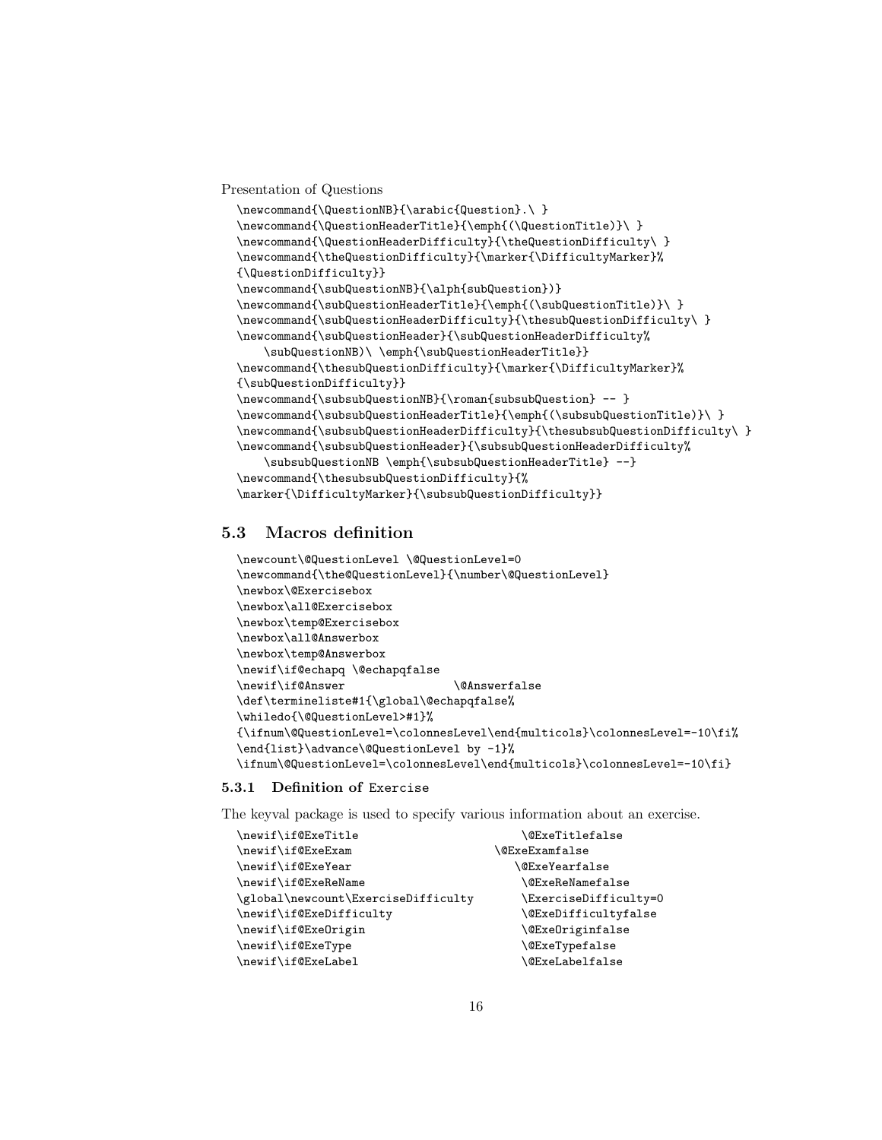<span id="page-15-2"></span>Presentation of Questions

```
\newcommand{\QuestionNB}{\arabic{Question}.\ }
\newcommand{\QuestionHeaderTitle}{\emph{(\QuestionTitle)}\ }
\newcommand{\QuestionHeaderDifficulty}{\theQuestionDifficulty\ }
\newcommand{\theQuestionDifficulty}{\marker{\DifficultyMarker}%
{\QuestionDifficulty}}
\newcommand{\subQuestionNB}{\alph{subQuestion})}
\newcommand{\subQuestionHeaderTitle}{\emph{(\subQuestionTitle)}\ }
\newcommand{\subQuestionHeaderDifficulty}{\thesubQuestionDifficulty\ }
\newcommand{\subQuestionHeader}{\subQuestionHeaderDifficulty%
   \subQuestionNB)\ \emph{\subQuestionHeaderTitle}}
\newcommand{\thesubQuestionDifficulty}{\marker{\DifficultyMarker}%
{\subQuestionDifficulty}}
\newcommand{\subsubQuestionNB}{\roman{subsubQuestion} -- }
\newcommand{\subsubQuestionHeaderTitle}{\emph{(\subsubQuestionTitle)}\ }
\newcommand{\subsubQuestionHeaderDifficulty}{\thesubsubQuestionDifficulty\ }
\newcommand{\subsubQuestionHeader}{\subsubQuestionHeaderDifficulty%
    \subsubQuestionNB \emph{\subsubQuestionHeaderTitle} --}
\newcommand{\thesubsubQuestionDifficulty}{%
\marker{\DifficultyMarker}{\subsubQuestionDifficulty}}
```
## <span id="page-15-0"></span>5.3 Macros definition

```
\newcount\@QuestionLevel \@QuestionLevel=0
\newcommand{\the@QuestionLevel}{\number\@QuestionLevel}
\newbox\@Exercisebox
\newbox\all@Exercisebox
\newbox\temp@Exercisebox
\newbox\all@Answerbox
\newbox\temp@Answerbox
\newif\if@echapq \@echapqfalse
\newif\if@Answer \@Answerfalse
\def\termineliste#1{\global\@echapqfalse%
\whiledo{\@QuestionLevel>#1}%
{\ifnum\@QuestionLevel=\colonnesLevel\end{multicols}\colonnesLevel=-10\fi%
\end{list}\advance\@QuestionLevel by -1}%
\ifnum\@QuestionLevel=\colonnesLevel\end{multicols}\colonnesLevel=-10\fi}
```
### <span id="page-15-1"></span>5.3.1 Definition of Exercise

The keyval package is used to specify various information about an exercise.

| \newif\if@ExeTitle                  | <b>\@ExeTitlefalse</b>  |
|-------------------------------------|-------------------------|
| \newif\if@ExeExam                   | $\verb \@ExcExamfalse $ |
| \newif\if@ExeYear                   | <b>\@ExeYearfalse</b>   |
| \newif\if@ExeReName                 | <b>\@ExeReNamefalse</b> |
| \global\newcount\ExerciseDifficulty | \ExerciseDifficulty=0   |
| \newif\if@ExeDifficulty             | \@ExeDifficultyfalse    |
| \newif\if@ExeOrigin                 | <b>\@ExeOriginfalse</b> |
| \newif\if@ExeType                   | <b>\@ExeTypefalse</b>   |
| \newif\if@ExeLabel                  | <b>\@ExeLabelfalse</b>  |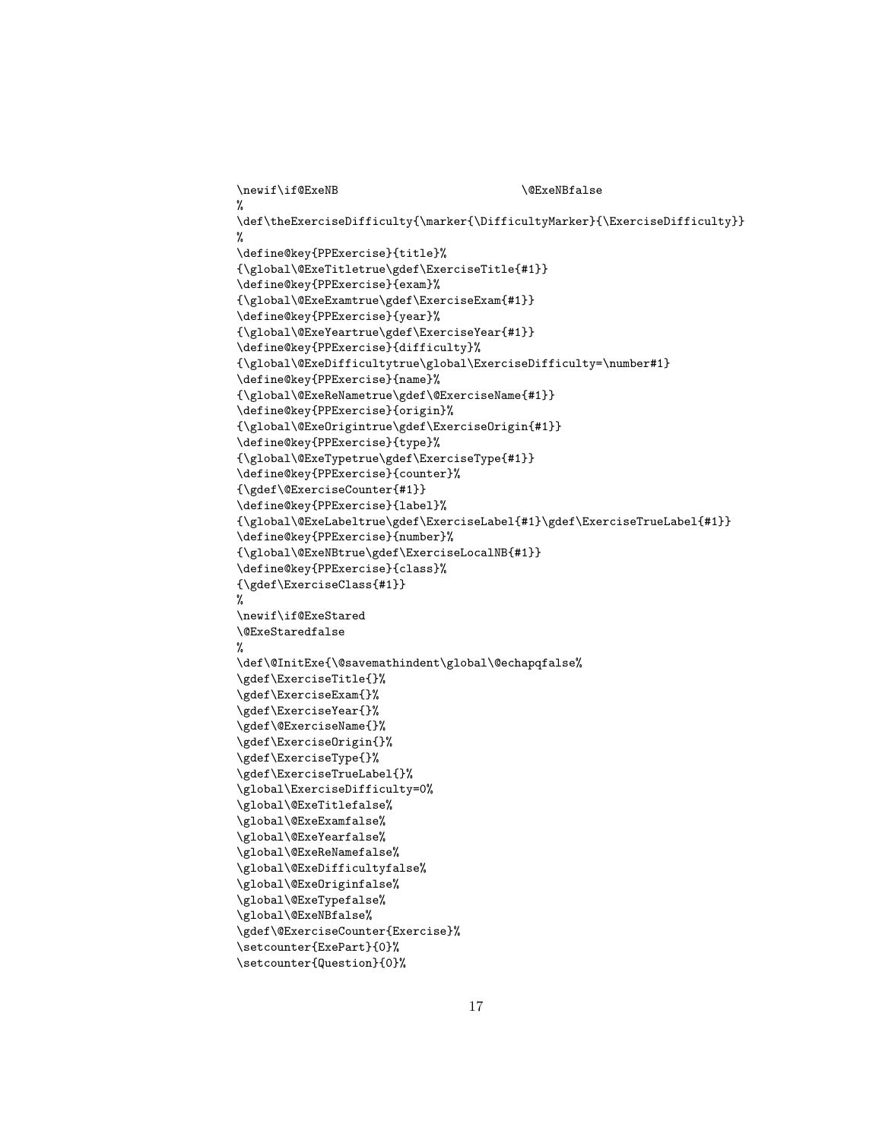```
\verb|\newif\if@ExeNB |%
\label{thm:main} $$\def\theExerciseDifficulty{\marker}\DifficultyMarker}{\Birer}{\ExerciseDifficulty}\%
\define@key{PPExercise}{title}%
{\global\@ExeTitletrue\gdef\ExerciseTitle{#1}}
\define@key{PPExercise}{exam}%
{\global\@ExeExamtrue\gdef\ExerciseExam{#1}}
\define@key{PPExercise}{year}%
{\global\@ExeYeartrue\gdef\ExerciseYear{#1}}
\define@key{PPExercise}{difficulty}%
{\global\@ExeDifficultytrue\global\ExerciseDifficulty=\number#1}
\define@key{PPExercise}{name}%
{\global\@ExeReNametrue\gdef\@ExerciseName{#1}}
\define@key{PPExercise}{origin}%
{\global\@ExeOrigintrue\gdef\ExerciseOrigin{#1}}
\define@key{PPExercise}{type}%
{\global\@ExeTypetrue\gdef\ExerciseType{#1}}
\define@key{PPExercise}{counter}%
{\gdef\@ExerciseCounter{#1}}
\define@key{PPExercise}{label}%
{\global\@ExeLabeltrue\gdef\ExerciseLabel{#1}\gdef\ExerciseTrueLabel{#1}}
\define@key{PPExercise}{number}%
{\global\@ExeNBtrue\gdef\ExerciseLocalNB{#1}}
\define@key{PPExercise}{class}%
{\gdef\ExerciseClass{#1}}
%
\newif\if@ExeStared
\@ExeStaredfalse
%
\def\@InitExe{\@savemathindent\global\@echapqfalse%
\gdef\ExerciseTitle{}%
\gdef\ExerciseExam{}%
\gdef\ExerciseYear{}%
\gdef\@ExerciseName{}%
\gdef\ExerciseOrigin{}%
\gdef\ExerciseType{}%
\gdef\ExerciseTrueLabel{}%
\global\ExerciseDifficulty=0%
\global\@ExeTitlefalse%
\global\@ExeExamfalse%
\global\@ExeYearfalse%
\global\@ExeReNamefalse%
\global\@ExeDifficultyfalse%
\global\@ExeOriginfalse%
\global\@ExeTypefalse%
\global\@ExeNBfalse%
\gdef\@ExerciseCounter{Exercise}%
\setcounter{ExePart}{0}%
\setcounter{Question}{0}%
```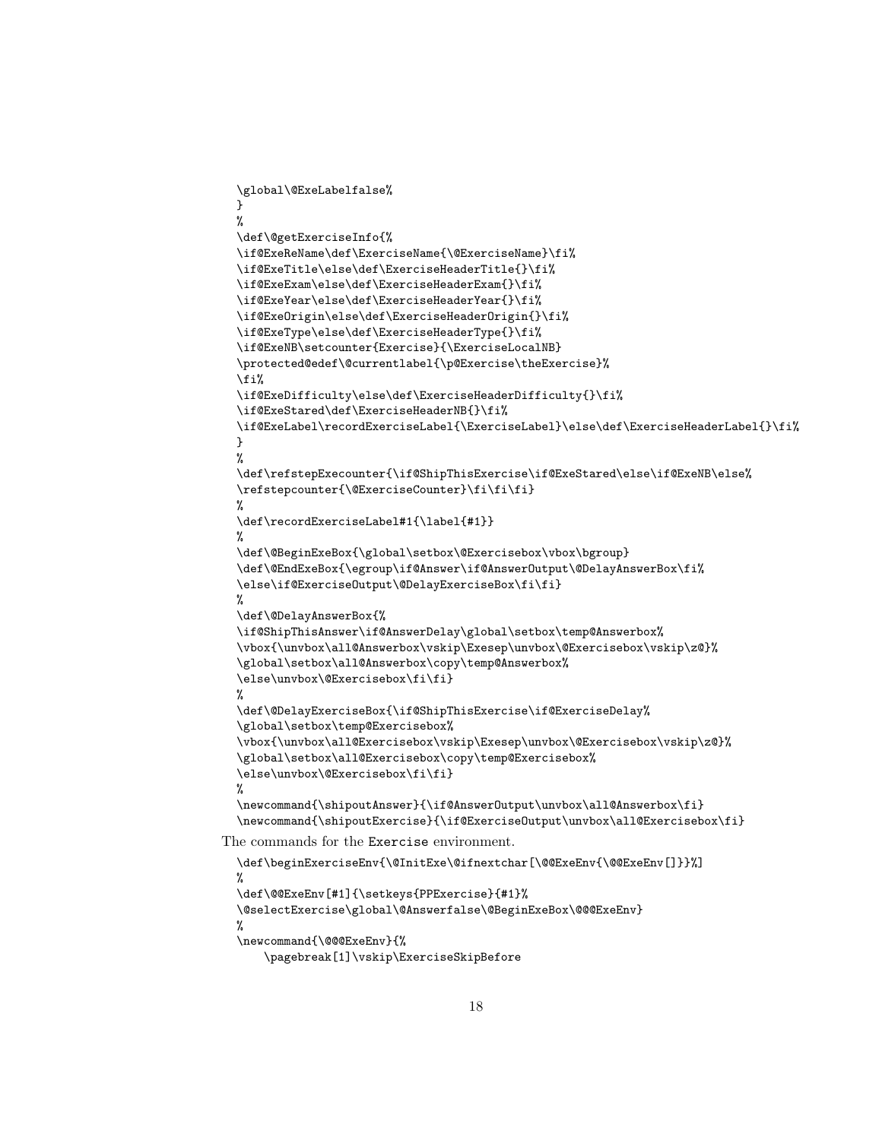```
\global\@ExeLabelfalse%
  }
 %
  \def\@getExerciseInfo{%
  \if@ExeReName\def\ExerciseName{\@ExerciseName}\fi%
  \if@ExeTitle\else\def\ExerciseHeaderTitle{}\fi%
  \if@ExeExam\else\def\ExerciseHeaderExam{}\fi%
  \if@ExeYear\else\def\ExerciseHeaderYear{}\fi%
  \if@ExeOrigin\else\def\ExerciseHeaderOrigin{}\fi%
  \if@ExeType\else\def\ExerciseHeaderType{}\fi%
  \if@ExeNB\setcounter{Exercise}{\ExerciseLocalNB}
  \protected@edef\@currentlabel{\p@Exercise\theExercise}%
  \fi%
  \if@ExeDifficulty\else\def\ExerciseHeaderDifficulty{}\fi%
  \if@ExeStared\def\ExerciseHeaderNB{}\fi%
  \if@ExeLabel\recordExerciseLabel{\ExerciseLabel}\else\def\ExerciseHeaderLabel{}\fi%
  }
  %
  \def\refstepExecounter{\if@ShipThisExercise\if@ExeStared\else\if@ExeNB\else%
  \refstepcounter{\@ExerciseCounter}\fi\fi\fi}
  %
  \def\recordExerciseLabel#1{\label{#1}}
 \gamma\def\@BeginExeBox{\global\setbox\@Exercisebox\vbox\bgroup}
  \def\@EndExeBox{\egroup\if@Answer\if@AnswerOutput\@DelayAnswerBox\fi%
  \else\if@ExerciseOutput\@DelayExerciseBox\fi\fi}
  %
  \def\@DelayAnswerBox{%
  \if@ShipThisAnswer\if@AnswerDelay\global\setbox\temp@Answerbox%
  \vbox{\unvbox\all@Answerbox\vskip\Exesep\unvbox\@Exercisebox\vskip\z@}%
  \global\setbox\all@Answerbox\copy\temp@Answerbox%
  \else\unvbox\@Exercisebox\fi\fi}
 %
  \def\@DelayExerciseBox{\if@ShipThisExercise\if@ExerciseDelay%
  \global\setbox\temp@Exercisebox%
  \vbox{\unvbox\all@Exercisebox\vskip\Exesep\unvbox\@Exercisebox\vskip\z@}%
  \global\setbox\all@Exercisebox\copy\temp@Exercisebox%
  \else\unvbox\@Exercisebox\fi\fi}
 %
  \newcommand{\shipoutAnswer}{\if@AnswerOutput\unvbox\all@Answerbox\fi}
  \newcommand{\shipoutExercise}{\if@ExerciseOutput\unvbox\all@Exercisebox\fi}
The commands for the Exercise environment.
```

```
\def\beginExerciseEnv{\@InitExe\@ifnextchar[\@@ExeEnv{\@@ExeEnv[]}}%]
%
\def\@@ExeEnv[#1]{\setkeys{PPExercise}{#1}%
\@selectExercise\global\@Answerfalse\@BeginExeBox\@@@ExeEnv}
%
\newcommand{\@@@ExeEnv}{%
    \pagebreak[1]\vskip\ExerciseSkipBefore
```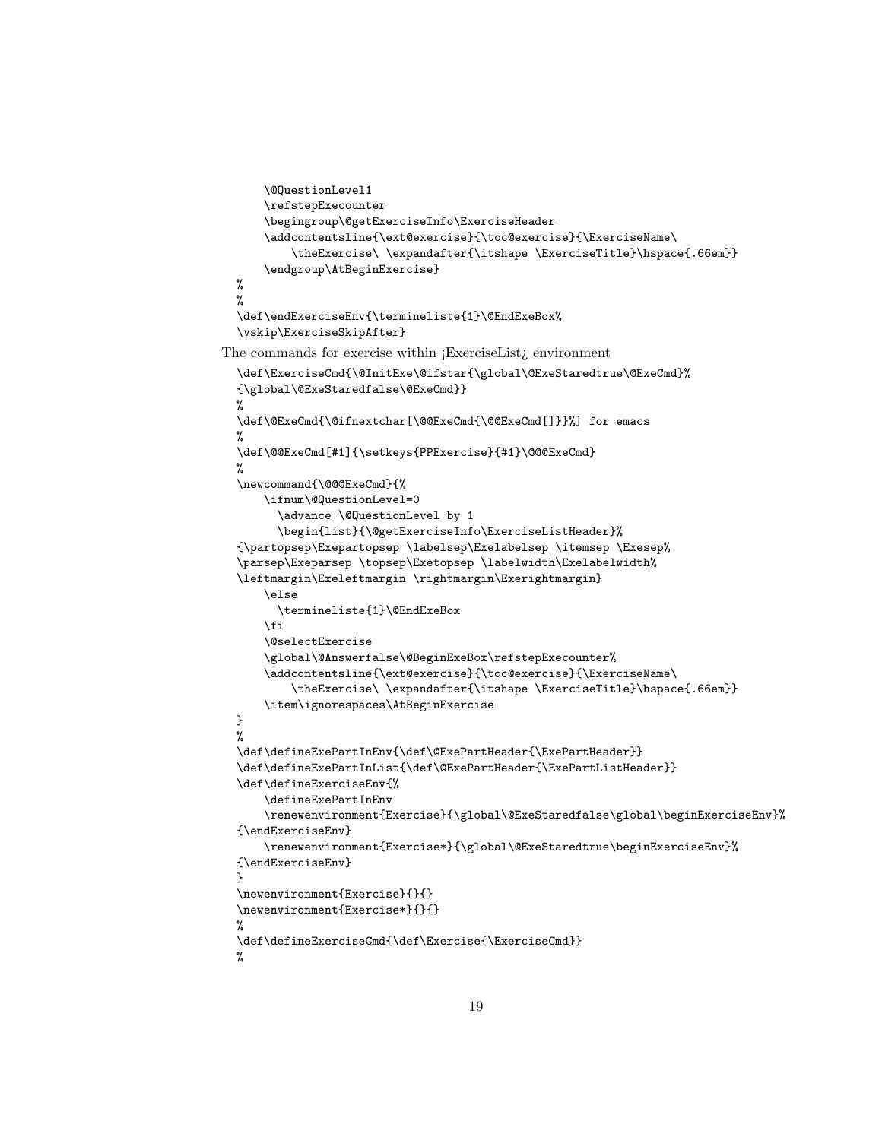```
\@QuestionLevel1
      \refstepExecounter
      \begingroup\@getExerciseInfo\ExerciseHeader
      \addcontentsline{\ext@exercise}{\toc@exercise}{\ExerciseName\
          \theExercise\ \expandafter{\itshape \ExerciseTitle}\hspace{.66em}}
      \endgroup\AtBeginExercise}
  %
  %
  \def\endExerciseEnv{\termineliste{1}\@EndExeBox%
  \vskip\ExerciseSkipAfter}
The commands for exercise within ¡ExerciseList¿ environment
  \def\ExerciseCmd{\@InitExe\@ifstar{\global\@ExeStaredtrue\@ExeCmd}%
  {\global\@ExeStaredfalse\@ExeCmd}}
  %
  \def\@ExeCmd{\@ifnextchar[\@@ExeCmd{\@@ExeCmd[]}}%] for emacs
  %
  \def\@@ExeCmd[#1]{\setkeys{PPExercise}{#1}\@@@ExeCmd}
  %
  \newcommand{\@@@ExeCmd}{%
      \ifnum\@QuestionLevel=0
        \advance \@QuestionLevel by 1
        \begin{list}{\@getExerciseInfo\ExerciseListHeader}%
  {\partopsep\Exepartopsep \labelsep\Exelabelsep \itemsep \Exesep%
  \parsep\Exeparsep \topsep\Exetopsep \labelwidth\Exelabelwidth%
  \leftmargin\Exeleftmargin \rightmargin\Exerightmargin}
      \else
        \termineliste{1}\@EndExeBox
      \fi
      \@selectExercise
      \global\@Answerfalse\@BeginExeBox\refstepExecounter%
      \addcontentsline{\ext@exercise}{\toc@exercise}{\ExerciseName\
          \theExercise\ \expandafter{\itshape \ExerciseTitle}\hspace{.66em}}
      \item\ignorespaces\AtBeginExercise
  }
  %
  \def\defineExePartInEnv{\def\@ExePartHeader{\ExePartHeader}}
  \def\defineExePartInList{\def\@ExePartHeader{\ExePartListHeader}}
  \def\defineExerciseEnv{%
      \defineExePartInEnv
      \renewenvironment{Exercise}{\global\@ExeStaredfalse\global\beginExerciseEnv}%
  {\endExerciseEnv}
      \renewenvironment{Exercise*}{\global\@ExeStaredtrue\beginExerciseEnv}%
  {\endExerciseEnv}
  }
  \newenvironment{Exercise}{}{}
  \newenvironment{Exercise*}{}{}
  %
  \def\defineExerciseCmd{\def\Exercise{\ExerciseCmd}}
  %
```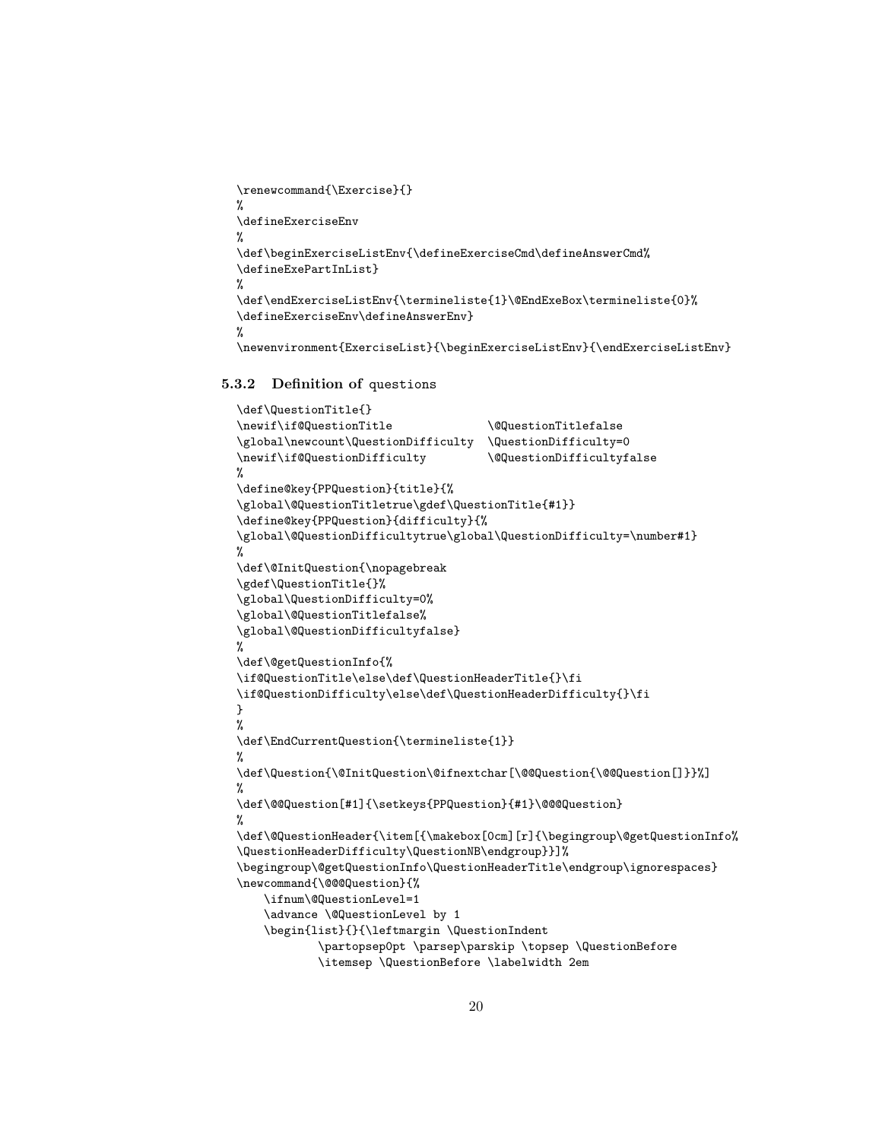```
\renewcommand{\Exercise}{}
%
\defineExerciseEnv
%
\def\beginExerciseListEnv{\defineExerciseCmd\defineAnswerCmd%
\defineExePartInList}
%
\def\endExerciseListEnv{\termineliste{1}\@EndExeBox\termineliste{0}%
\defineExerciseEnv\defineAnswerEnv}
%
\newenvironment{ExerciseList}{\beginExerciseListEnv}{\endExerciseListEnv}
```
### <span id="page-19-0"></span>5.3.2 Definition of questions

```
\def\QuestionTitle{}
\newif\if@QuestionTitle \@QuestionTitlefalse
\global\newcount\QuestionDifficulty \QuestionDifficulty=0
\newif\if@QuestionDifficulty \@QuestionDifficultyfalse
%
\define@key{PPQuestion}{title}{%
\global\@QuestionTitletrue\gdef\QuestionTitle{#1}}
\define@key{PPQuestion}{difficulty}{%
\global\@QuestionDifficultytrue\global\QuestionDifficulty=\number#1}
%
\def\@InitQuestion{\nopagebreak
\gdef\QuestionTitle{}%
\global\QuestionDifficulty=0%
\global\@QuestionTitlefalse%
\global\@QuestionDifficultyfalse}
%
\def\@getQuestionInfo{%
\if@QuestionTitle\else\def\QuestionHeaderTitle{}\fi
\if@QuestionDifficulty\else\def\QuestionHeaderDifficulty{}\fi
}
%
\def\EndCurrentQuestion{\termineliste{1}}
%
\def\Question{\@InitQuestion\@ifnextchar[\@@Question{\@@Question[]}}%]
%
\def\@@Question[#1]{\setkeys{PPQuestion}{#1}\@@@Question}
%
\def\@QuestionHeader{\item[{\makebox[0cm][r]{\begingroup\@getQuestionInfo%
\QuestionHeaderDifficulty\QuestionNB\endgroup}}]%
\begingroup\@getQuestionInfo\QuestionHeaderTitle\endgroup\ignorespaces}
\newcommand{\@@@Question}{%
    \ifnum\@QuestionLevel=1
    \advance \@QuestionLevel by 1
    \begin{list}{}{\leftmargin \QuestionIndent
            \partopsep0pt \parsep\parskip \topsep \QuestionBefore
            \itemsep \QuestionBefore \labelwidth 2em
```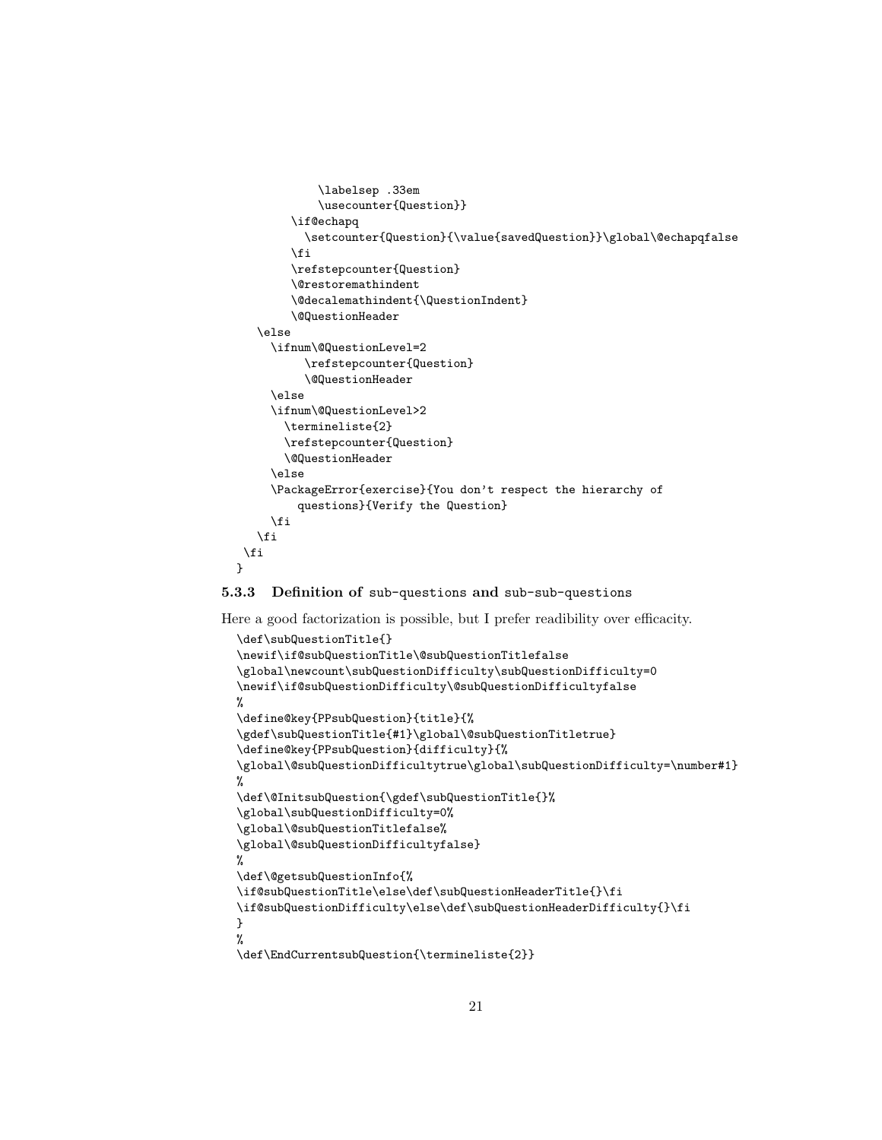```
\labelsep .33em
            \usecounter{Question}}
        \if@echapq
          \setcounter{Question}{\value{savedQuestion}}\global\@echapqfalse
        \fi
        \refstepcounter{Question}
        \@restoremathindent
        \@decalemathindent{\QuestionIndent}
        \@QuestionHeader
   \else
     \ifnum\@QuestionLevel=2
          \refstepcounter{Question}
          \@QuestionHeader
     \else
     \ifnum\@QuestionLevel>2
       \termineliste{2}
       \refstepcounter{Question}
       \@QuestionHeader
     \else
     \PackageError{exercise}{You don't respect the hierarchy of
         questions}{Verify the Question}
     \fi
   \fi
 \fi
}
```
#### <span id="page-20-0"></span>5.3.3 Definition of sub-questions and sub-sub-questions

Here a good factorization is possible, but I prefer readibility over efficacity.

```
\def\subQuestionTitle{}
\newif\if@subQuestionTitle\@subQuestionTitlefalse
\global\newcount\subQuestionDifficulty\subQuestionDifficulty=0
\newif\if@subQuestionDifficulty\@subQuestionDifficultyfalse
%
\define@key{PPsubQuestion}{title}{%
\gdef\subQuestionTitle{#1}\global\@subQuestionTitletrue}
\define@key{PPsubQuestion}{difficulty}{%
\global\@subQuestionDifficultytrue\global\subQuestionDifficulty=\number#1}
%
\def\@InitsubQuestion{\gdef\subQuestionTitle{}%
\global\subQuestionDifficulty=0%
\global\@subQuestionTitlefalse%
\global\@subQuestionDifficultyfalse}
%
\def\@getsubQuestionInfo{%
\if@subQuestionTitle\else\def\subQuestionHeaderTitle{}\fi
\if@subQuestionDifficulty\else\def\subQuestionHeaderDifficulty{}\fi
}
%
\def\EndCurrentsubQuestion{\termineliste{2}}
```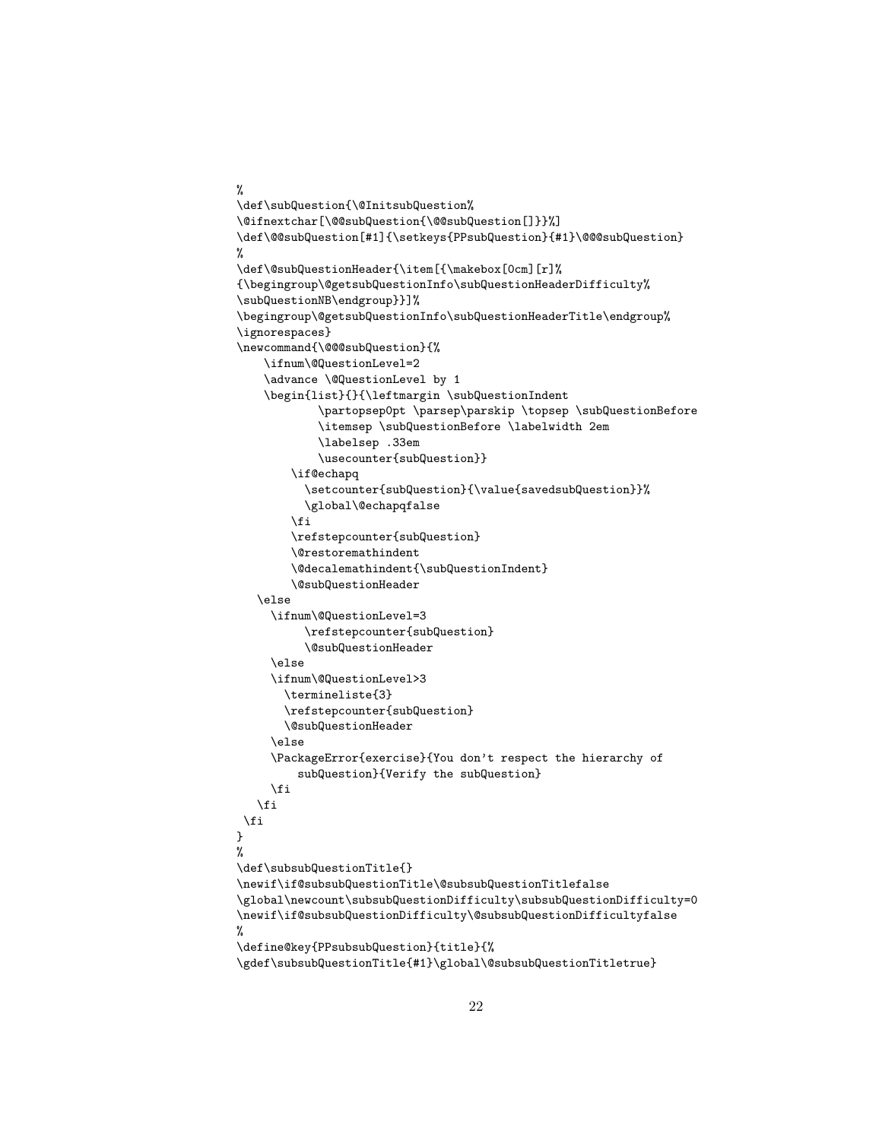```
%
\def\subQuestion{\@InitsubQuestion%
\@ifnextchar[\@@subQuestion{\@@subQuestion[]}}%]
\def\@@subQuestion[#1]{\setkeys{PPsubQuestion}{#1}\@@@subQuestion}
%
\def\@subQuestionHeader{\item[{\makebox[0cm][r]%
{\begingroup\@getsubQuestionInfo\subQuestionHeaderDifficulty%
\subQuestionNB\endgroup}}]%
\begingroup\@getsubQuestionInfo\subQuestionHeaderTitle\endgroup%
\ignorespaces}
\newcommand{\@@@subQuestion}{%
    \ifnum\@QuestionLevel=2
    \advance \@QuestionLevel by 1
    \begin{list}{}{\leftmargin \subQuestionIndent
            \partopsep0pt \parsep\parskip \topsep \subQuestionBefore
            \itemsep \subQuestionBefore \labelwidth 2em
            \labelsep .33em
            \usecounter{subQuestion}}
        \if@echapq
          \setcounter{subQuestion}{\value{savedsubQuestion}}%
          \global\@echapqfalse
        \fi
        \refstepcounter{subQuestion}
        \@restoremathindent
        \@decalemathindent{\subQuestionIndent}
        \@subQuestionHeader
   \else
     \ifnum\@QuestionLevel=3
          \refstepcounter{subQuestion}
          \@subQuestionHeader
     \else
     \ifnum\@QuestionLevel>3
       \termineliste{3}
       \refstepcounter{subQuestion}
       \@subQuestionHeader
     \else
     \PackageError{exercise}{You don't respect the hierarchy of
         subQuestion}{Verify the subQuestion}
     \fi
   \fi
 \fi
}
%
\def\subsubQuestionTitle{}
\newif\if@subsubQuestionTitle\@subsubQuestionTitlefalse
\global\newcount\subsubQuestionDifficulty\subsubQuestionDifficulty=0
\newif\if@subsubQuestionDifficulty\@subsubQuestionDifficultyfalse
%
\define@key{PPsubsubQuestion}{title}{%
```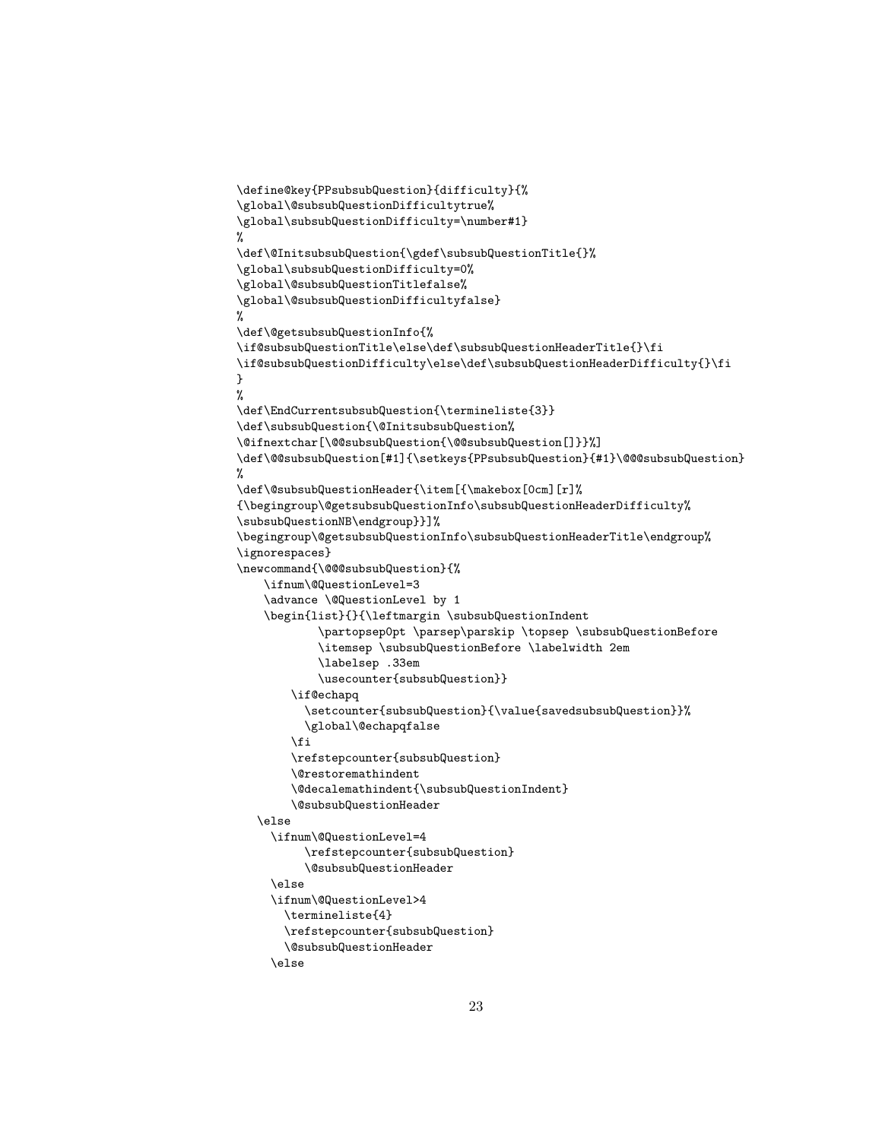```
\define@key{PPsubsubQuestion}{difficulty}{%
\global\@subsubQuestionDifficultytrue%
\global\subsubQuestionDifficulty=\number#1}
%
\def\@InitsubsubQuestion{\gdef\subsubQuestionTitle{}%
\global\subsubQuestionDifficulty=0%
\global\@subsubQuestionTitlefalse%
\global\@subsubQuestionDifficultyfalse}
%
\def\@getsubsubQuestionInfo{%
\if@subsubQuestionTitle\else\def\subsubQuestionHeaderTitle{}\fi
\if@subsubQuestionDifficulty\else\def\subsubQuestionHeaderDifficulty{}\fi
}
%
\def\EndCurrentsubsubQuestion{\termineliste{3}}
\def\subsubQuestion{\@InitsubsubQuestion%
\@ifnextchar[\@@subsubQuestion{\@@subsubQuestion[]}}%]
\def\@@subsubQuestion[#1]{\setkeys{PPsubsubQuestion}{#1}\@@@subsubQuestion}
%
\def\@subsubQuestionHeader{\item[{\makebox[0cm][r]%
{\begingroup\@getsubsubQuestionInfo\subsubQuestionHeaderDifficulty%
\subsubQuestionNB\endgroup}}]%
\begingroup\@getsubsubQuestionInfo\subsubQuestionHeaderTitle\endgroup%
\ignorespaces}
\newcommand{\@@@subsubQuestion}{%
    \ifnum\@QuestionLevel=3
    \advance \@QuestionLevel by 1
    \begin{list}{}{\leftmargin \subsubQuestionIndent
            \partopsep0pt \parsep\parskip \topsep \subsubQuestionBefore
            \itemsep \subsubQuestionBefore \labelwidth 2em
            \labelsep .33em
            \usecounter{subsubQuestion}}
        \if@echapq
          \setcounter{subsubQuestion}{\value{savedsubsubQuestion}}%
          \global\@echapqfalse
        \fi
        \refstepcounter{subsubQuestion}
        \@restoremathindent
        \@decalemathindent{\subsubQuestionIndent}
        \@subsubQuestionHeader
   \else
     \ifnum\@QuestionLevel=4
          \refstepcounter{subsubQuestion}
          \@subsubQuestionHeader
     \else
     \ifnum\@QuestionLevel>4
       \termineliste{4}
       \refstepcounter{subsubQuestion}
       \@subsubQuestionHeader
     \else
```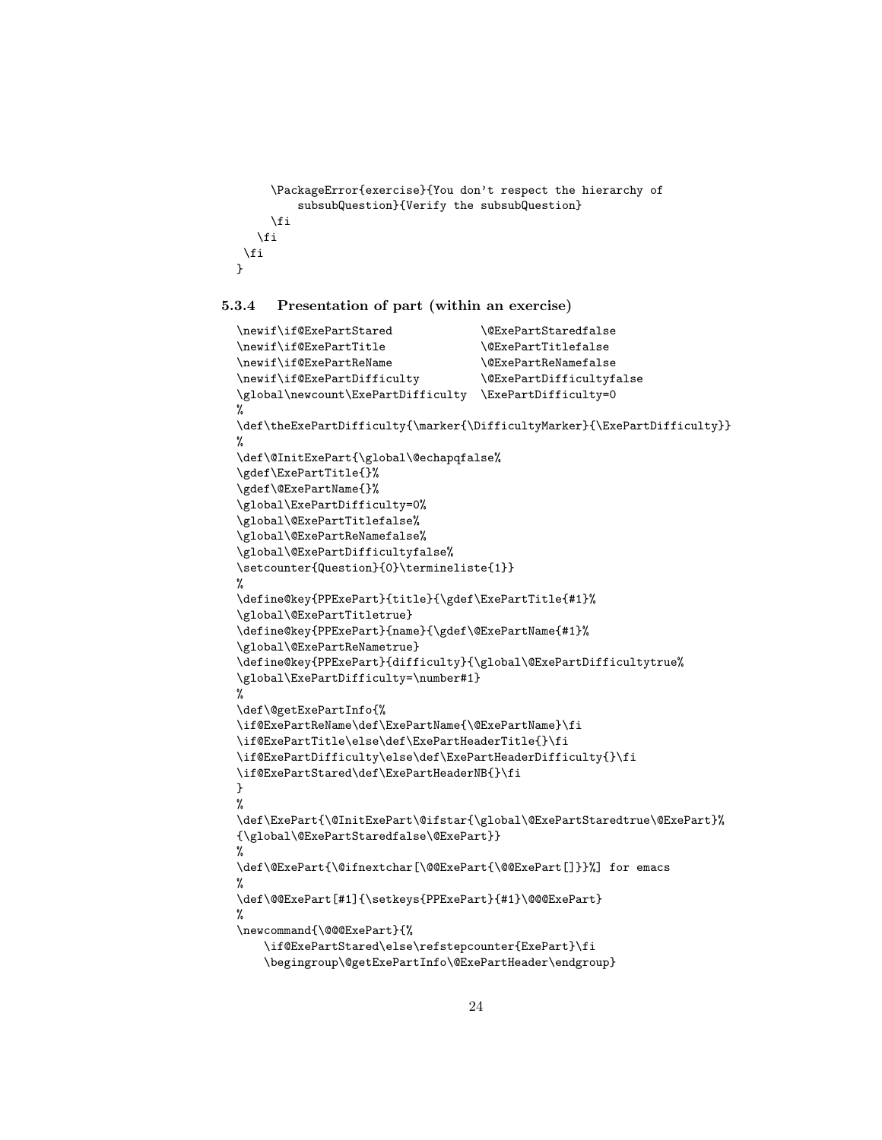```
\PackageError{exercise}{You don't respect the hierarchy of
         subsubQuestion}{Verify the subsubQuestion}
     \fi
   \fi
 \fi
}
```
### <span id="page-23-0"></span>5.3.4 Presentation of part (within an exercise)

```
\newif\if@ExePartStared \@ExePartStaredfalse
\newif\if@ExePartTitle \@ExePartTitlefalse
\newif\if@ExePartReName \@ExePartReNamefalse
\newif\if@ExePartDifficulty \@ExePartDifficultyfalse
\global\newcount\ExePartDifficulty \ExePartDifficulty=0
%
\def\theExePartDifficulty{\marker{\DifficultyMarker}{\ExePartDifficulty}}
%
\def\@InitExePart{\global\@echapqfalse%
\gdef\ExePartTitle{}%
\gdef\@ExePartName{}%
\global\ExePartDifficulty=0%
\global\@ExePartTitlefalse%
\global\@ExePartReNamefalse%
\global\@ExePartDifficultyfalse%
\setcounter{Question}{0}\termineliste{1}}
%
\define@key{PPExePart}{title}{\gdef\ExePartTitle{#1}%
\global\@ExePartTitletrue}
\define@key{PPExePart}{name}{\gdef\@ExePartName{#1}%
\global\@ExePartReNametrue}
\define@key{PPExePart}{difficulty}{\global\@ExePartDifficultytrue%
\global\ExePartDifficulty=\number#1}
%
\def\@getExePartInfo{%
\if@ExePartReName\def\ExePartName{\@ExePartName}\fi
\if@ExePartTitle\else\def\ExePartHeaderTitle{}\fi
\if@ExePartDifficulty\else\def\ExePartHeaderDifficulty{}\fi
\if@ExePartStared\def\ExePartHeaderNB{}\fi
}
%
\def\ExePart{\@InitExePart\@ifstar{\global\@ExePartStaredtrue\@ExePart}%
{\global\@ExePartStaredfalse\@ExePart}}
%
\def\@ExePart{\@ifnextchar[\@@ExePart{\@@ExePart[]}}%] for emacs
%
\def\@@ExePart[#1]{\setkeys{PPExePart}{#1}\@@@ExePart}
%
\newcommand{\@@@ExePart}{%
    \if@ExePartStared\else\refstepcounter{ExePart}\fi
    \begingroup\@getExePartInfo\@ExePartHeader\endgroup}
```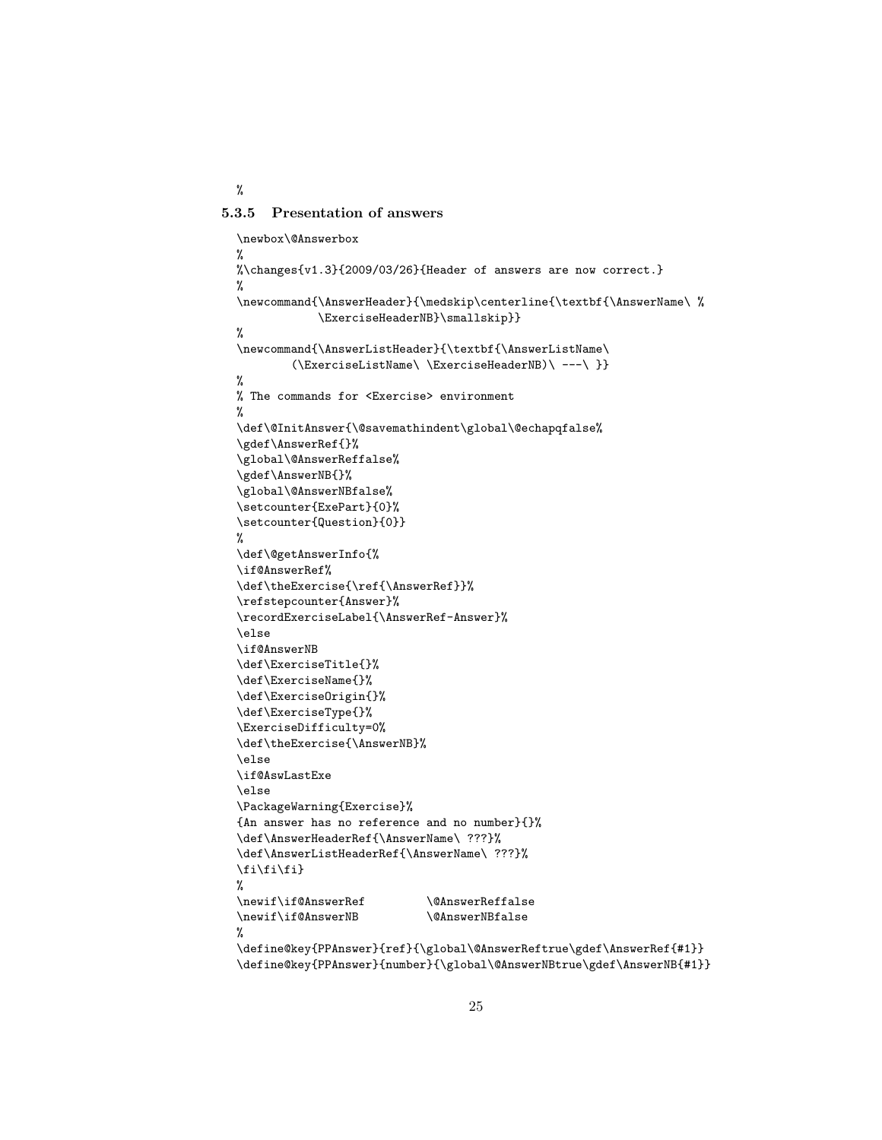<span id="page-24-0"></span>5.3.5 Presentation of answers

<span id="page-24-1"></span>%

```
\newbox\@Answerbox
%
%\changes{v1.3}{2009/03/26}{Header of answers are now correct.}
%
\newcommand{\AnswerHeader}{\medskip\centerline{\textbf{\AnswerName\ %\ExerciseHeaderNB}\smallskip}}
%
\newcommand{\AnswerListHeader}{\textbf{\AnswerListName\
        (\ExerciseListName\ \ExerciseHeaderNB)\ ---\ }}
%
% The commands for <Exercise> environment
%
\def\@InitAnswer{\@savemathindent\global\@echapqfalse%
\gdef\AnswerRef{}%
\global\@AnswerReffalse%
\gdef\AnswerNB{}%
\global\@AnswerNBfalse%
\setcounter{ExePart}{0}%
\setcounter{Question}{0}}
%
\def\@getAnswerInfo{%
\if@AnswerRef%
\def\theExercise{\ref{\AnswerRef}}%
\refstepcounter{Answer}%
\recordExerciseLabel{\AnswerRef-Answer}%
\else
\if@AnswerNB
\def\ExerciseTitle{}%
\def\ExerciseName{}%
\def\ExerciseOrigin{}%
\def\ExerciseType{}%
\ExerciseDifficulty=0%
\def\theExercise{\AnswerNB}%
\else
\if@AswLastExe
\else
\PackageWarning{Exercise}%
{An answer has no reference and no number}{}%
\def\AnswerHeaderRef{\AnswerName\ ???}%
\def\AnswerListHeaderRef{\AnswerName\ ???}%
\fi\fi\fi}
%
\newif\if@AnswerRef \@AnswerReffalse
\newif\if@AnswerNB \@AnswerNBfalse
%
\define@key{PPAnswer}{ref}{\global\@AnswerReftrue\gdef\AnswerRef{#1}}
```
\define@key{PPAnswer}{number}{\global\@AnswerNBtrue\gdef\AnswerNB{#1}}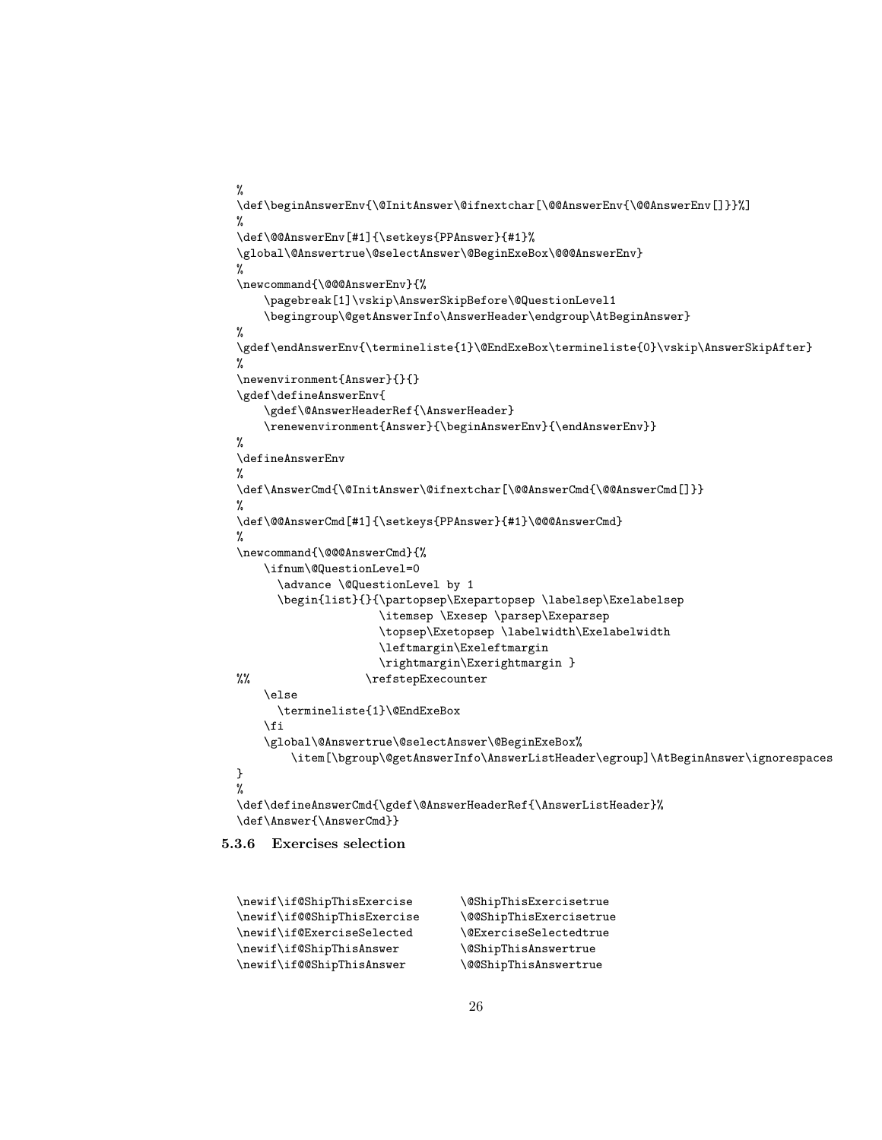```
%
\def\beginAnswerEnv{\@InitAnswer\@ifnextchar[\@@AnswerEnv{\@@AnswerEnv[]}}%]
%
\def\@@AnswerEnv[#1]{\setkeys{PPAnswer}{#1}%
\global\@Answertrue\@selectAnswer\@BeginExeBox\@@@AnswerEnv}
%
\newcommand{\@@@AnswerEnv}{%
    \pagebreak[1]\vskip\AnswerSkipBefore\@QuestionLevel1
    \begingroup\@getAnswerInfo\AnswerHeader\endgroup\AtBeginAnswer}
%
\gdef\endAnswerEnv{\termineliste{1}\@EndExeBox\termineliste{0}\vskip\AnswerSkipAfter}
%
\newenvironment{Answer}{}{}
\gdef\defineAnswerEnv{
    \gdef\@AnswerHeaderRef{\AnswerHeader}
    \renewenvironment{Answer}{\beginAnswerEnv}{\endAnswerEnv}}
%
\defineAnswerEnv
%
\def\AnswerCmd{\@InitAnswer\@ifnextchar[\@@AnswerCmd{\@@AnswerCmd[]}}
%
\def\@@AnswerCmd[#1]{\setkeys{PPAnswer}{#1}\@@@AnswerCmd}
%
\newcommand{\@@@AnswerCmd}{%
    \ifnum\@QuestionLevel=0
      \advance \@QuestionLevel by 1
      \begin{list}{}{\partopsep\Exepartopsep \labelsep\Exelabelsep
                     \itemsep \Exesep \parsep\Exeparsep
                     \topsep\Exetopsep \labelwidth\Exelabelwidth
                     \leftmargin\Exeleftmargin
                     \rightmargin\Exerightmargin }
%% \refstepExecounter
    \else
      \termineliste{1}\@EndExeBox
    \left\{ \frac{f}{f} \right\}\global\@Answertrue\@selectAnswer\@BeginExeBox%
        \item[\bgroup\@getAnswerInfo\AnswerListHeader\egroup]\AtBeginAnswer\ignorespaces
}
%
\def\defineAnswerCmd{\gdef\@AnswerHeaderRef{\AnswerListHeader}%
\def\Answer{\AnswerCmd}}
```
#### <span id="page-25-0"></span>5.3.6 Exercises selection

```
\newif\if@ShipThisExercise \@ShipThisExercisetrue
\newif\if@@ShipThisExercise \@@ShipThisExercisetrue
\newif\if@ExerciseSelected \@ExerciseSelectedtrue
\newif\if@ShipThisAnswer \@ShipThisAnswertrue
\newif\if@@ShipThisAnswer \@@ShipThisAnswertrue
```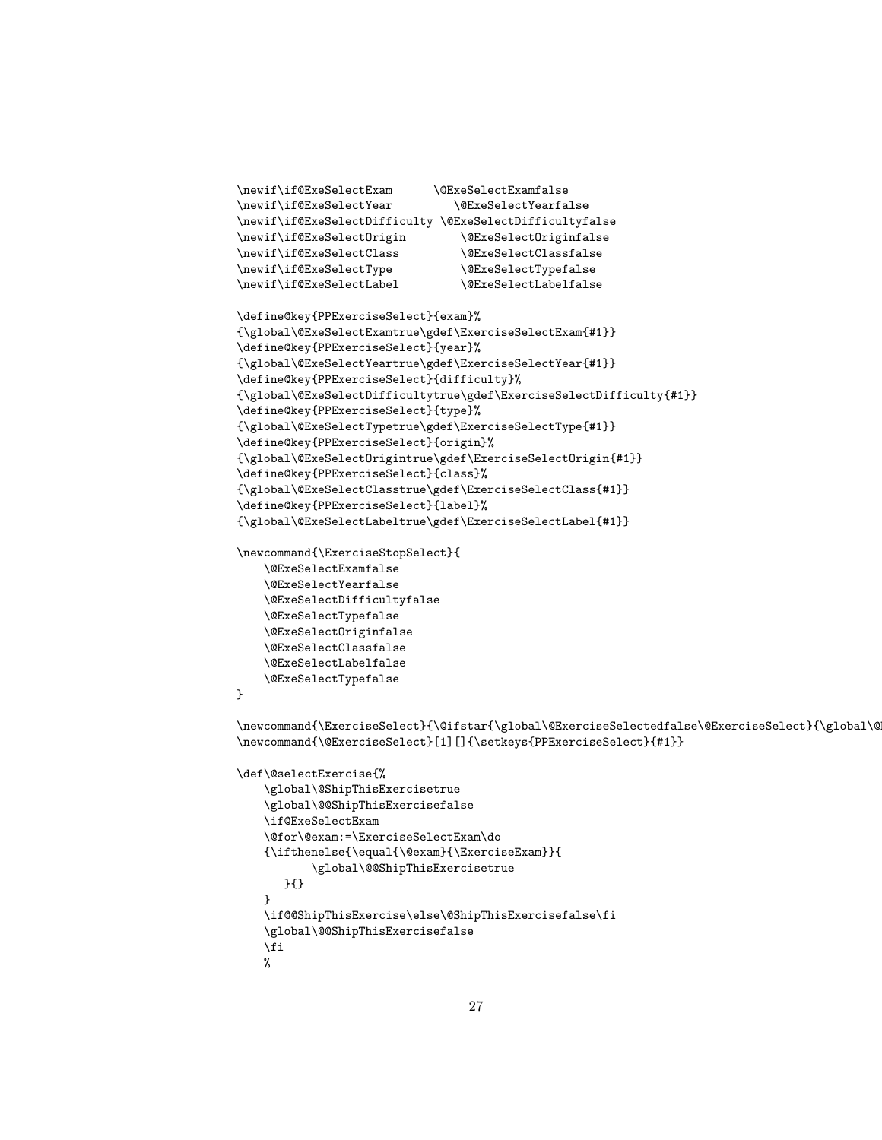```
\newif\if@ExeSelectExam \@ExeSelectExamfalse
\newif\if@ExeSelectYear \@ExeSelectYearfalse
\newif\if@ExeSelectDifficulty \@ExeSelectDifficultyfalse
\newif\if@ExeSelectOrigin \@ExeSelectOriginfalse
\newif\if@ExeSelectClass \@ExeSelectClassfalse
\newif\if@ExeSelectType \@ExeSelectTypefalse
\newif\if@ExeSelectLabel \@ExeSelectLabelfalse
\define@key{PPExerciseSelect}{exam}%
{\global\@ExeSelectExamtrue\gdef\ExerciseSelectExam{#1}}
\define@key{PPExerciseSelect}{year}%
{\global\@ExeSelectYeartrue\gdef\ExerciseSelectYear{#1}}
\define@key{PPExerciseSelect}{difficulty}%
{\global\@ExeSelectDifficultytrue\gdef\ExerciseSelectDifficulty{#1}}
\define@key{PPExerciseSelect}{type}%
{\global\@ExeSelectTypetrue\gdef\ExerciseSelectType{#1}}
\define@key{PPExerciseSelect}{origin}%
{\global\@ExeSelectOrigintrue\gdef\ExerciseSelectOrigin{#1}}
\define@key{PPExerciseSelect}{class}%
{\global\@ExeSelectClasstrue\gdef\ExerciseSelectClass{#1}}
\define@key{PPExerciseSelect}{label}%
{\global\@ExeSelectLabeltrue\gdef\ExerciseSelectLabel{#1}}
\newcommand{\ExerciseStopSelect}{
    \@ExeSelectExamfalse
    \@ExeSelectYearfalse
    \@ExeSelectDifficultyfalse
    \@ExeSelectTypefalse
    \@ExeSelectOriginfalse
    \@ExeSelectClassfalse
    \@ExeSelectLabelfalse
    \@ExeSelectTypefalse
}
\newcommand{\ExerciseSelect}{\@ifstar{\global\@ExerciseSelectedfalse\@ExerciseSelect}{\global\@
\newcommand{\@ExerciseSelect}[1][]{\setkeys{PPExerciseSelect}{#1}}
\def\@selectExercise{%
    \global\@ShipThisExercisetrue
    \global\@@ShipThisExercisefalse
    \if@ExeSelectExam
    \@for\@exam:=\ExerciseSelectExam\do
```

```
{\ifthenelse{\equal{\@exam}{\ExerciseExam}}{
       \global\@@ShipThisExercisetrue
   }{}
}
\if@@ShipThisExercise\else\@ShipThisExercisefalse\fi
\global\@@ShipThisExercisefalse
\fi
%
```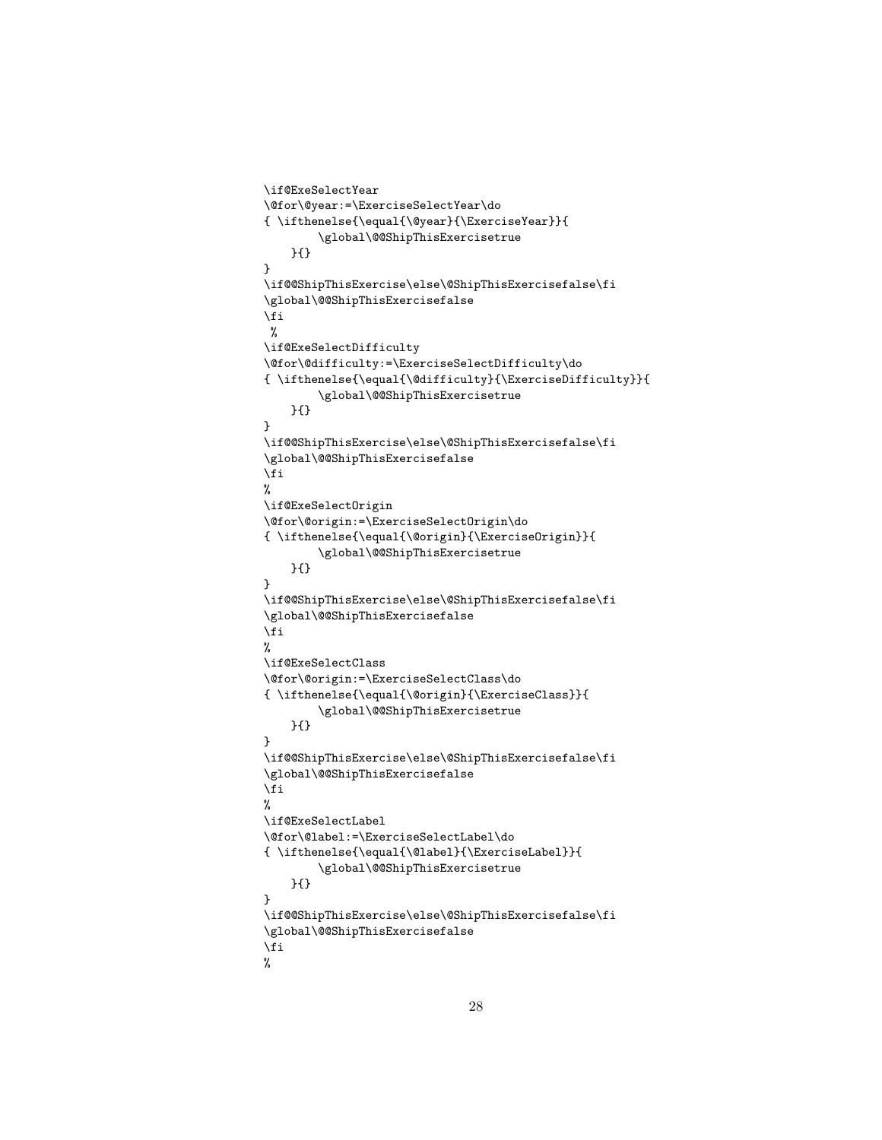```
\if@ExeSelectYear
\@for\@year:=\ExerciseSelectYear\do
{ \ifthenelse{\equal{\@year}{\ExerciseYear}}{
        \global\@@ShipThisExercisetrue
    }{}
}
\if@@ShipThisExercise\else\@ShipThisExercisefalse\fi
\global\@@ShipThisExercisefalse
\fi
%
\if@ExeSelectDifficulty
\@for\@difficulty:=\ExerciseSelectDifficulty\do
{ \ifthenelse{\equal{\@difficulty}{\ExerciseDifficulty}}{
        \global\@@ShipThisExercisetrue
    }{}
}
\if@@ShipThisExercise\else\@ShipThisExercisefalse\fi
\global\@@ShipThisExercisefalse
\fi
%
\if@ExeSelectOrigin
\@for\@origin:=\ExerciseSelectOrigin\do
{ \ifthenelse{\equal{\@origin}{\ExerciseOrigin}}{
        \global\@@ShipThisExercisetrue
    }{}
}
\if@@ShipThisExercise\else\@ShipThisExercisefalse\fi
\global\@@ShipThisExercisefalse
\fi
%
\if@ExeSelectClass
\@for\@origin:=\ExerciseSelectClass\do
{ \ifthenelse{\equal{\@origin}{\ExerciseClass}}{
        \global\@@ShipThisExercisetrue
    }{}
}
\if@@ShipThisExercise\else\@ShipThisExercisefalse\fi
\global\@@ShipThisExercisefalse
\fi
%
\if@ExeSelectLabel
\@for\@label:=\ExerciseSelectLabel\do
{ \ifthenelse{\equal{\@label}{\ExerciseLabel}}{
        \global\@@ShipThisExercisetrue
    }{}
}
\if@@ShipThisExercise\else\@ShipThisExercisefalse\fi
\global\@@ShipThisExercisefalse
\fi
%
```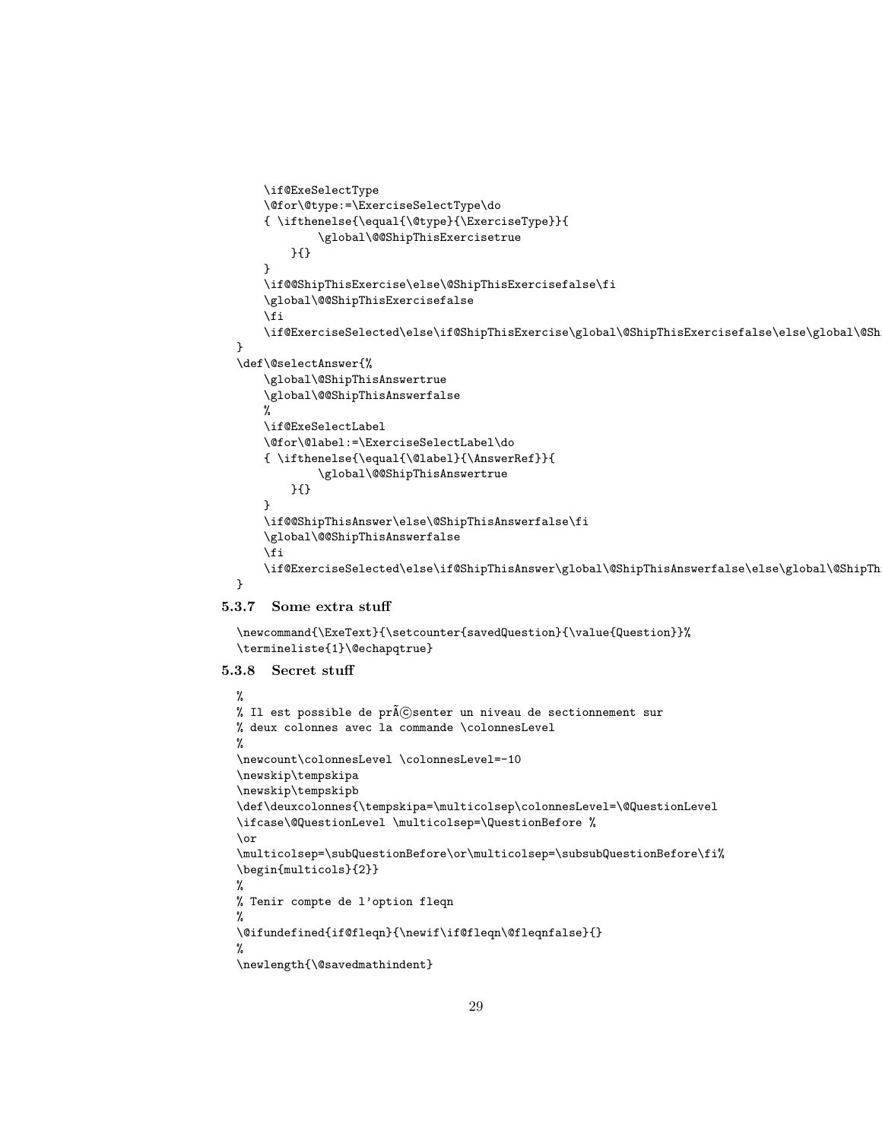```
\if@ExeSelectType
    \@for\@type:=\ExerciseSelectType\do
    { \ifthenelse{\equal{\@type}{\ExerciseType}}{
            \global\@@ShipThisExercisetrue
        }{}
    }
    \if@@ShipThisExercise\else\@ShipThisExercisefalse\fi
    \global\@@ShipThisExercisefalse
    \fi
    \if@ExerciseSelected\else\if@ShipThisExercise\global\@ShipThisExercisefalse\else\global\@ShipThisExercisetrue\fi\fi
}
\def\@selectAnswer{%
    \global\@ShipThisAnswertrue
    \global\@@ShipThisAnswerfalse
    %
    \if@ExeSelectLabel
    \@for\@label:=\ExerciseSelectLabel\do
    { \ifthenelse{\equal{\@label}{\AnswerRef}}{
            \global\@@ShipThisAnswertrue
        }{}
    }
    \if@@ShipThisAnswer\else\@ShipThisAnswerfalse\fi
    \global\@@ShipThisAnswerfalse
    \fi
    \if@ExerciseSelected\else\if@ShipThisAnswer\global\@ShipThisAnswerfalse\else\global\@ShipTh
}
```
### <span id="page-28-0"></span>5.3.7 Some extra stuff

```
\newcommand{\ExeText}{\setcounter{savedQuestion}{\value{Question}}%
\termineliste{1}\@echapqtrue}
```
#### <span id="page-28-1"></span>5.3.8 Secret stuff

```
%
% Il est possible de pr\tilde{A}Csenter un niveau de sectionnement sur
% deux colonnes avec la commande \colonnesLevel
\gamma\newcount\colonnesLevel \colonnesLevel=-10
\newskip\tempskipa
\newskip\tempskipb
\def\deuxcolonnes{\tempskipa=\multicolsep\colonnesLevel=\@QuestionLevel
\ifcase\@QuestionLevel \multicolsep=\QuestionBefore %
\or
\multicolsep=\subQuestionBefore\or\multicolsep=\subsubQuestionBefore\fi%
\begin{multicols}{2}}
%
% Tenir compte de l'option fleqn
%
\@ifundefined{if@fleqn}{\newif\if@fleqn\@fleqnfalse}{}
%
\newlength{\@savedmathindent}
```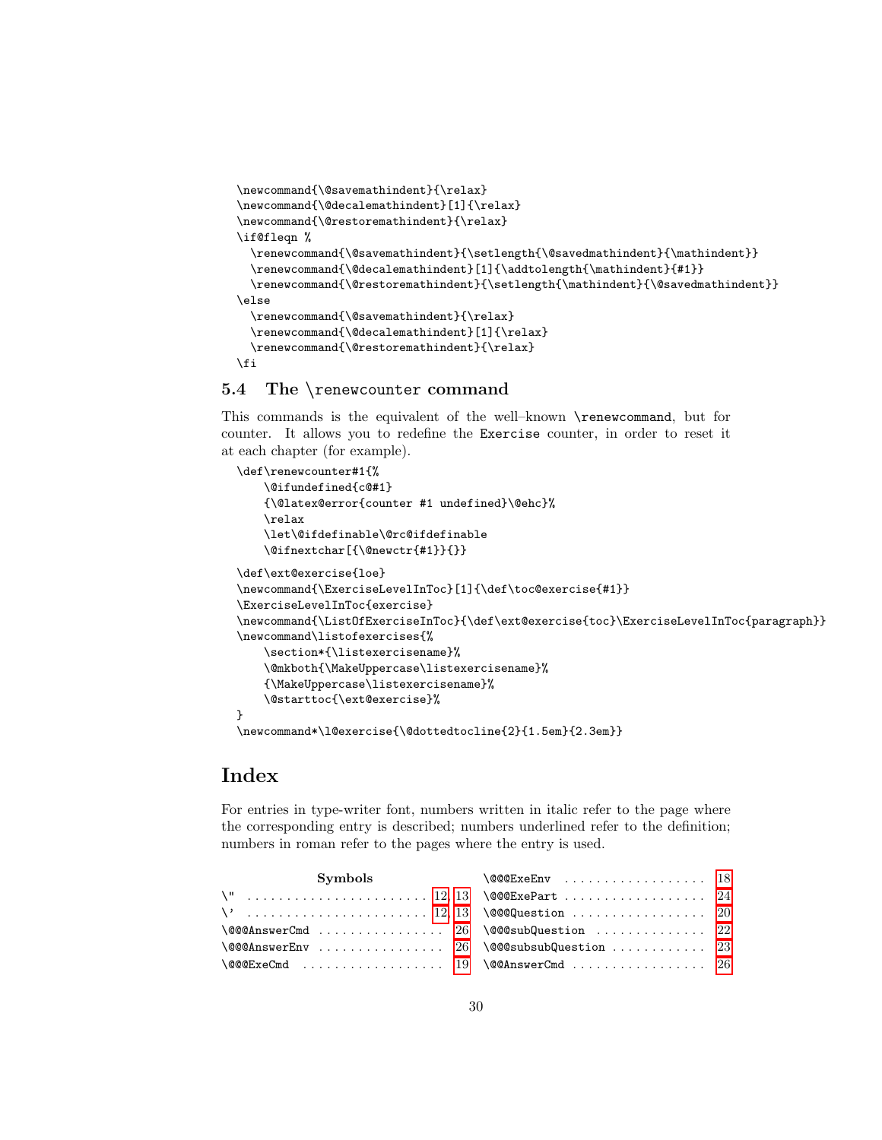```
\newcommand{\@savemathindent}{\relax}
\newcommand{\@decalemathindent}[1]{\relax}
\newcommand{\\@restoremathindent}{\relax}\if@fleqn %
  \verb|\remewcommand{{\@savemathindent}{\setminus}{{\@savemathindent}}|\renewcommand{\@decalemathindent}[1]{\addtolength{\mathindent}{#1}}
  \renewcommand{\@restoremathindent}{\setlength{\mathindent}{\@savedmathindent}}
\else
  \renewcommand{\@savemathindent}{\relax}
  \renewcommand{\@decalemathindent}[1]{\relax}
  \renewcommand{\@restoremathindent}{\relax}
\fi
```
#### <span id="page-29-0"></span>5.4 The \renewcounter command

This commands is the equivalent of the well–known \renewcommand, but for counter. It allows you to redefine the Exercise counter, in order to reset it at each chapter (for example).

```
\def\renewcounter#1{%
    \@ifundefined{c@#1}
    {\@latex@error{counter #1 undefined}\@ehc}%
    \relax
    \let\@ifdefinable\@rc@ifdefinable
    \@ifnextchar[{\@newctr{#1}}{}}
\def\ext@exercise{loe}
\newcommand{\ExerciseLevelInToc}[1]{\def\toc@exercise{#1}}
\ExerciseLevelInToc{exercise}
\newcommand{\ListOfExerciseInToc}{\def\ext@exercise{toc}\ExerciseLevelInToc{paragraph}}
\newcommand\listofexercises{%
    \section*{\listexercisename}%
    \@mkboth{\MakeUppercase\listexercisename}%
    {\MakeUppercase\listexercisename}%
    \@starttoc{\ext@exercise}%
}
\newcommand*\l@exercise{\@dottedtocline{2}{1.5em}{2.3em}}
```
## Index

For entries in type-writer font, numbers written in italic refer to the page where the corresponding entry is described; numbers underlined refer to the definition; numbers in roman refer to the pages where the entry is used.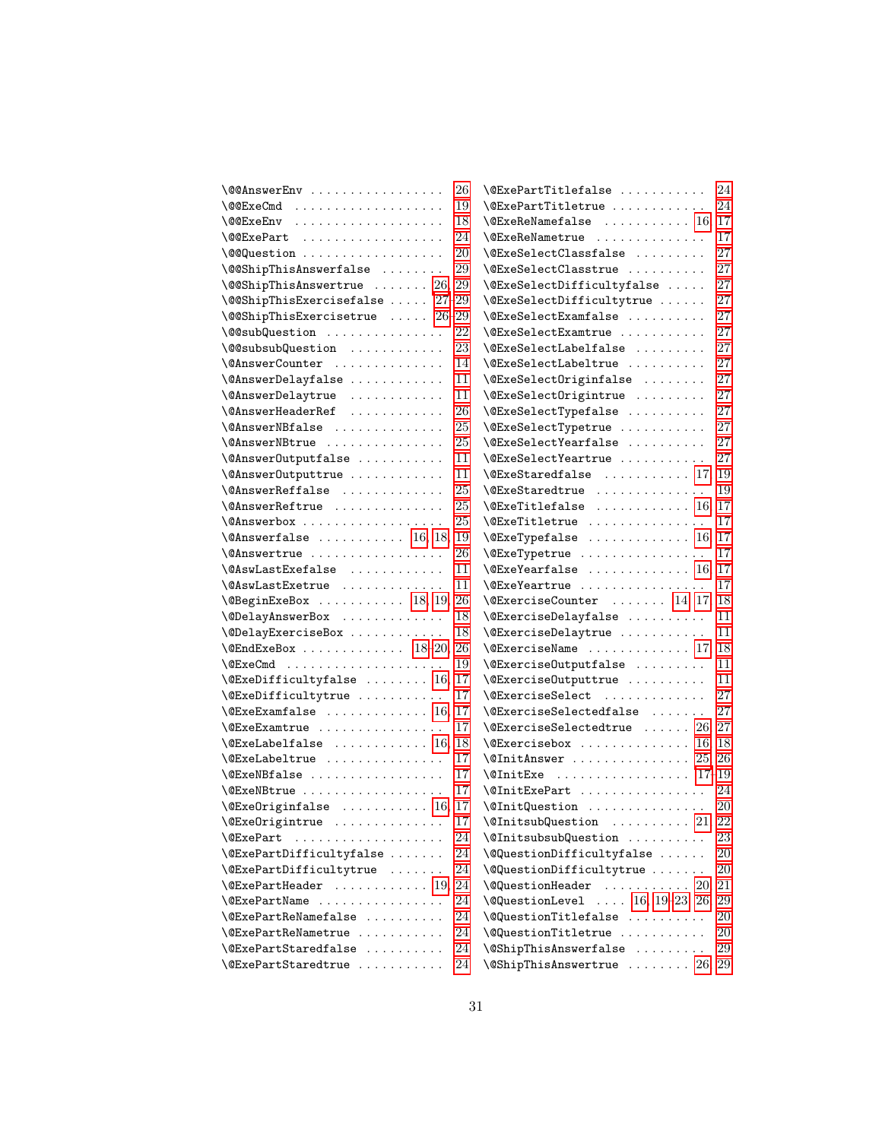| \@@AnswerEnv                                                   | 26 | $\text{QExePartTitlefalse}$                                 | 24 |
|----------------------------------------------------------------|----|-------------------------------------------------------------|----|
|                                                                | 19 | \@ExePartTitletrue                                          | 24 |
| \@@ExeEnv                                                      | 18 | $\text{VEx}$ eReNamefalse  16, 17                           |    |
| $\sqrt{$ @ExePart                                              | 24 | $\Q$ ExeReNametrue                                          | 17 |
|                                                                | 20 | $\text{QExeSelectClassfalse}$                               | 27 |
| \@@ShipThisAnswerfalse                                         | 29 | $\text{QExeSelect}$ Classtrue                               | 27 |
| $\setminus$ @@ShipThisAnswertrue  26, 29                       |    | \@ExeSelectDifficultyfalse                                  | 27 |
| $\verb+\@ShipThisExercise false  ?7-29$                        |    | \@ExeSelectDifficultytrue                                   | 27 |
| $\setminus$ @@ShipThisExercisetrue  26-29                      |    | \@ExeSelectExamfalse                                        | 27 |
| \@@subQuestion                                                 | 22 | $\text{CExeSelectExamtrue}$                                 | 27 |
| \@@subsubQuestion                                              | 23 | $\texttt{QExeSelectLabelfalse}$                             | 27 |
| \@AnswerCounter                                                | 14 | $\text{QExeSelectLabeltrue} \dots \dots \dots$              | 27 |
| \@AnswerDelayfalse                                             | 11 | \@ExeSelectOriginfalse                                      | 27 |
| \@AnswerDelaytrue                                              | 11 | \@ExeSelectOrigintrue                                       | 27 |
| \@AnswerHeaderRef                                              | 26 | \@ExeSelectTypefalse                                        | 27 |
| \@AnswerNBfalse                                                | 25 | \@ExeSelectTypetrue                                         | 27 |
| \@AnswerNBtrue                                                 | 25 | \@ExeSelectYearfalse                                        | 27 |
| \@Answer0utputfalse                                            | 11 | $\text{QExeSelect}$ Yeartrue                                | 27 |
| \@Answer0utputtrue                                             | 11 | $\text{CExeStrategy}$ 17, 19                                |    |
| \@AnswerReffalse                                               | 25 | <b>\@ExeStaredtrue</b>                                      | 19 |
| \@AnswerReftrue                                                | 25 | $\text{CE}$ xeTitlefalse  16, 17                            |    |
| \@Answerbox                                                    | 25 | \@ExeTitletrue                                              | 17 |
| $\text{Nanswerfalse}$ 16, 18, 19                               |    | $\text{QExeTypefalse}$ 16, 17                               |    |
| \@Answertrue                                                   | 26 | \@ExeTypetrue                                               | 17 |
| \@AswLastExefalse                                              | 11 | $\text{CExeYearfalse}$ 16, 17                               |    |
| \@AswLastExetrue                                               | 11 | <b>\@ExeYeartrue</b>                                        | 17 |
| $\text{QBeginExeBox} \dots \dots \dots \dots \quad 18, 19, 26$ |    | $\text{QExercisesCounter} \dots 14, 17, 18$                 |    |
| \@DelayAnswerBox                                               | 18 | $\text{QExercises.}$                                        | 11 |
| \@DelayExerciseBox                                             | 18 | \@ExerciseDelaytrue                                         | 11 |
| $\text{QEndExeBox} \dots \dots \dots \dots \quad 18-20, 26$    |    |                                                             |    |
|                                                                | 19 | $\text{QExercisesOutputStream}$                             | 11 |
| $\text{CE}$ xeDifficultyfalse  16, 17                          |    | $\text{QExerciseOutput}$ rue                                | 11 |
| \@ExeDifficultytrue                                            | 17 | \@ExerciseSelect                                            | 27 |
| $\text{CExeExamfalse}$ 16, 17                                  |    | \@ExerciseSelectedfalse                                     | 27 |
| $\QExeExamtrue$                                                | 17 | $\text{QExercisesSelectedtrue} \dots 26, 27$                |    |
| $\text{QExelabelfalse}$ 16, 18                                 |    | $\text{CE}$ xercisebox  16, 18                              |    |
| \@ExeLabeltrue                                                 | 17 | $\text{QInitAnswer} \dots \dots \dots \dots \dots \ 25, 26$ |    |
|                                                                | 17 | $\text{QInitExe}$ 17-19                                     |    |
| <b>\@ExeNBtrue</b>                                             | 17 | <b>\@InitExePart</b>                                        | 24 |
| $\text{QExeOriginalse}$ 16, 17                                 |    | \@InitQuestion                                              | 20 |
| \@ExeOrigintrue                                                | 17 | $\text{QInitsubQuestion}$ 21, 22                            |    |
| \@ExePart                                                      | 24 | \@InitsubsubQuestion                                        | 23 |
| \@ExePartDifficultyfalse                                       | 24 | \@QuestionDifficultyfalse                                   | 20 |
| \@ExePartDifficultytrue                                        | 24 | \@QuestionDifficultytrue                                    | 20 |
| $\text{CExePartHeader}$ 19, 24                                 |    | $\text{QQuestionHeader}$ 20, 21                             |    |
| <b>\@ExePartName</b>                                           | 24 | $\text{Q}} = \{18, 19-23, 26, 29\}$                         |    |
| \@ExePartReNamefalse                                           | 24 | \@QuestionTitlefalse                                        | 20 |
| \@ExePartReNametrue                                            | 24 | \@QuestionTitletrue                                         | 20 |
| \@ExePartStaredfalse                                           | 24 | \@ShipThisAnswerfalse                                       | 29 |
| \@ExePartStaredtrue                                            | 24 | $\sqrt{\text{QShipThisAnswertrue}}$ 26, 29                  |    |
|                                                                |    |                                                             |    |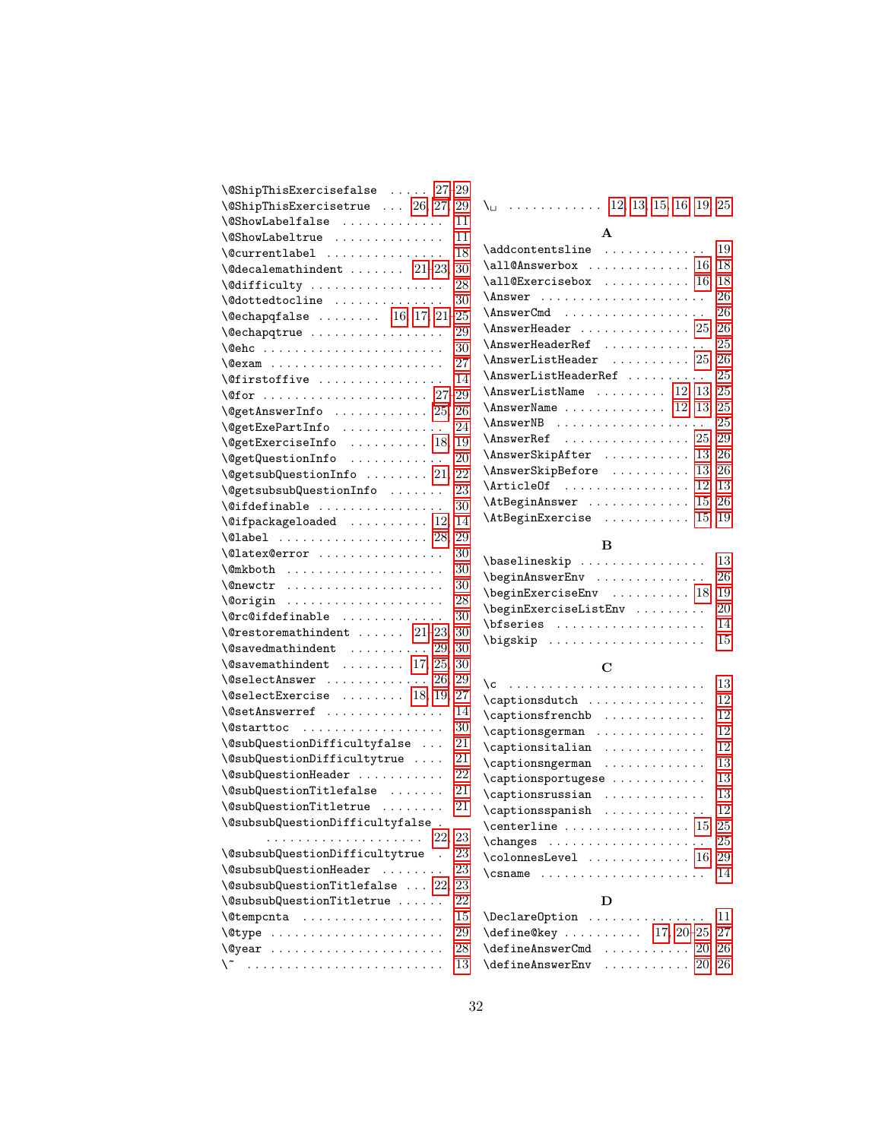| $\setminus$ @ShipThisExercisefalse $27-29$                                                              |
|---------------------------------------------------------------------------------------------------------|
| $\sqrt{\text{QShipThisExercise}}$ 26, 27, 29                                                            |
| $\text{QShowLabelfalse}$ 11                                                                             |
| $\text{QShowLabel true} \dots \dots \dots \dots \dots \quad 11$                                         |
| $\sqrt{$ currentlabel<br>18                                                                             |
| $\text{Qdecalemath>math$ $21-23, 30$                                                                    |
| $\text{led}$ difficulty  28                                                                             |
| $\texttt{\textbackslash}\mathbb{Q}$ dottedtocline  30                                                   |
| $\text{Qechapqfalse}$ 16, 17, 21-25                                                                     |
| \@echapqtrue<br>29                                                                                      |
| -30                                                                                                     |
| $\sqrt{e}$ exam  27                                                                                     |
| $\setminus$ Ofirstoffive  14                                                                            |
|                                                                                                         |
| $\text{QgetAnswerInfo} \dots \dots \dots \dots \ 25, 26$                                                |
| $\text{QgetExePartInfo} \dots \dots \dots \dots \ 24$                                                   |
| \@getExerciseInfo  18, 19<br>\@getQuestionInfo  20                                                      |
|                                                                                                         |
| $\text{QgetsubQuestionInfo}$ 21, 22                                                                     |
| $\text{QgetsubSubQuestionInfo}$ 23                                                                      |
| $\setminus$ @ifdefinable  30                                                                            |
| $\sqrt{q}$ ifpackageloaded  12, 14                                                                      |
| $\Delta$ label  28, 29                                                                                  |
| $\text{Valuex@error}$ 30                                                                                |
| $\text{Qmkboth}$ 30                                                                                     |
| $\texttt{\textbackslash} \mathbb{C}$ newctr $\ldots \ldots \ldots \ldots \ldots \ldots \ldots \quad 30$ |
|                                                                                                         |
| $\sqrt{c}$ c@ifdefinable<br>30                                                                          |
| $\text{Vectoremathindent} \dots \dots 21-23, 30$                                                        |
| $\sqrt{Q}$ savedmathindent $29, 30$                                                                     |
| $\sqrt{Q}$ savemathindent  17, 25, 30                                                                   |
| $\text{VoselectAnswer}$ 26, 29                                                                          |
| $\text{Voselect}$ Exercise  18, 19, 27                                                                  |
| \@setAnswerref<br>14                                                                                    |
| 30<br>\@starttoc                                                                                        |
| $\verb+\@subQuestionDifficultyfalse  21$                                                                |
| \@subQuestionDifficultytrue<br>21                                                                       |
| 22<br>\@subQuestionHeader                                                                               |
| 21<br>\@subQuestionTitlefalse                                                                           |
| 21<br>\@subQuestionTitletrue                                                                            |
| \@subsubQuestionDifficultyfalse.                                                                        |
| 22,<br>23<br>.                                                                                          |
| \@subsubQuestionDifficultytrue<br>23<br>$\ddot{\phantom{0}}$                                            |
| \@subsubQuestionHeader<br>23                                                                            |
| $\setminus$ @subsubQuestionTitlefalse  22,<br>23                                                        |
| \@subsubQuestionTitletrue<br>22                                                                         |
| 15                                                                                                      |
| \@type<br>29                                                                                            |
| <b>\@year</b><br>28                                                                                     |
| 13                                                                                                      |
|                                                                                                         |

| $\setminus$ 12, 13, 15, 16, 19, 25                                         |  |
|----------------------------------------------------------------------------|--|
| $\mathbf{A}$                                                               |  |
| $\Delta$ ddcontentsline  19                                                |  |
| $\lambda$ all@Answerbox  16, 18                                            |  |
| $\lambda$ 110Exercisebox  16, 18                                           |  |
| $\Lambda$ swer  26                                                         |  |
|                                                                            |  |
| $\Lambda$ nswerHeader $25, 26$                                             |  |
| $\verb \AnswerHeaderRef   \dots   \dots   25$                              |  |
| $\Lambda$ nswerListHeader  25, 26                                          |  |
| $\Lambda$ nswerListHeaderRef $25$                                          |  |
| $\Lambda$ nswerListName  12, 13, 25                                        |  |
| $\Lambda$ nswer $\Lambda$ ame  12, 13, 25                                  |  |
| $\Lambda$ nswerNB $25$                                                     |  |
| $\Lambda$ swerRef  25, 29                                                  |  |
| $\Lambda$ nswer $\text{SkipAfter}$ 13, 26                                  |  |
| $\Lambda$ swerSkipBefore  13, 26                                           |  |
| $\lvert \text{ArticleOf} \ldots \ldots \ldots \ldots \rvert 12, 13$        |  |
| $\lambda$ tBeginAnswer  15, 26                                             |  |
| $\lambda t$ Begin $\texttt{Exercise} \dots \dots \dots \dots \dots 15, 19$ |  |

# B

| $\{\texttt{baselineskip}\ \dots \dots \dots \dots \quad 13$                                   |  |
|-----------------------------------------------------------------------------------------------|--|
| $\begin{bmatrix} \texttt{begin}} \texttt{AnswerEnv} \ \ldots \ \ldots \ \ldots \end{bmatrix}$ |  |
| $\begin{bmatrix} \begin{array}{ccc} \texttt{18,19} \end{array} \end{bmatrix}$                 |  |
| $\begin{bmatrix} \texttt{begin} \dots & \dots & 20 \end{bmatrix}$                             |  |
|                                                                                               |  |
|                                                                                               |  |

# C

| ١c                                                      | 13 |
|---------------------------------------------------------|----|
| \captionsdutch                                          | 12 |
| \captionsfrenchb                                        | 12 |
| \captionsgerman                                         | 12 |
| \captionsitalian                                        | 12 |
|                                                         | 13 |
| \captionsportugese                                      | 13 |
| $\cap$ stionsrussian                                    | 13 |
| $\cap$ saptionsspanish                                  | 12 |
| $\verb \centerline  \dots  \dots 15, 25$                |    |
|                                                         | 25 |
| $\verb \colomesLevel            16, 29$                 |    |
| $\{\texttt{csname} \dots \dots \dots \dots \dots \dots$ | 14 |
|                                                         |    |
| D                                                       |    |
| \Declare0ption                                          | 11 |

| $\Delta$                                               |  |  |  |  |  |  |
|--------------------------------------------------------|--|--|--|--|--|--|
| $\define@key \ldots$ 17, 20-25, 27                     |  |  |  |  |  |  |
| $\text{defineAnswerCmd} \ldots \ldots \ldots \ 20, 26$ |  |  |  |  |  |  |
| $\defineAnswerEnv \dots \dots \ 20, 26$                |  |  |  |  |  |  |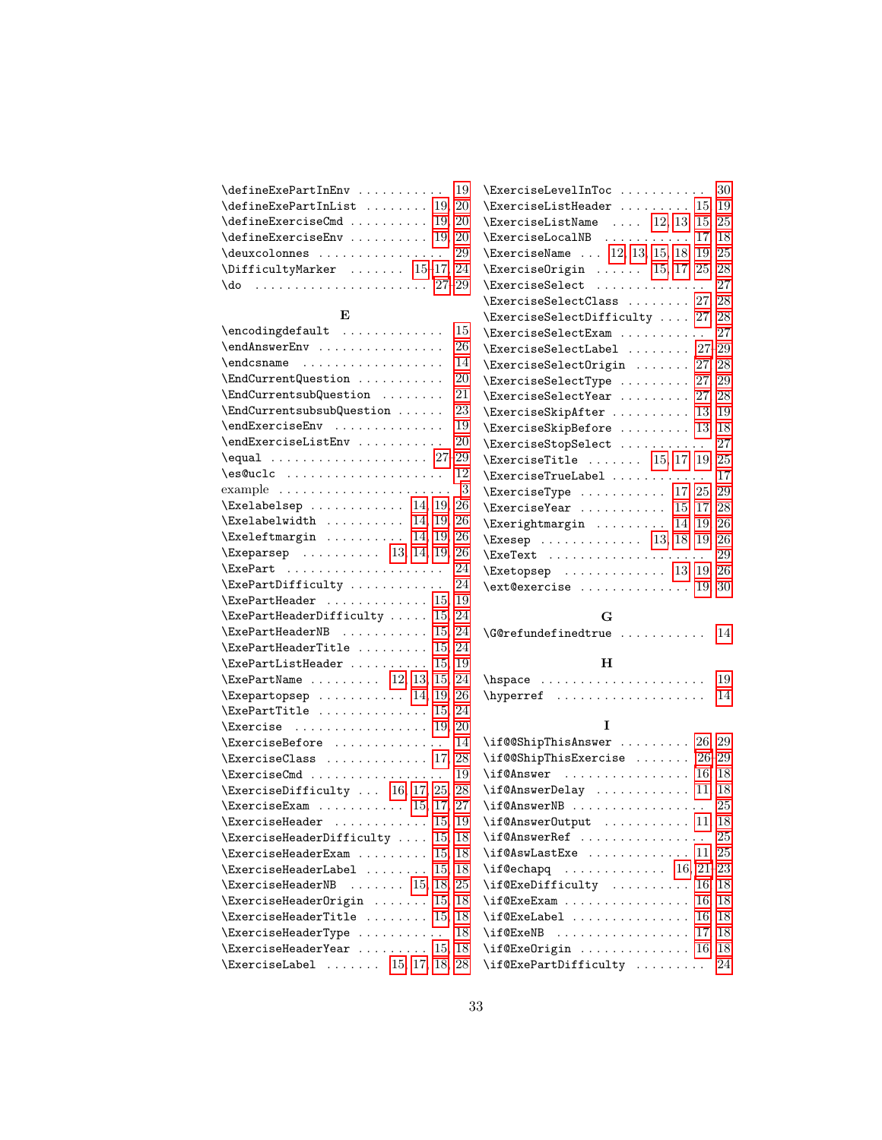| $\text{defineExePartInEnv} \dots \dots \dots \quad 19$ |
|--------------------------------------------------------|
| $\defineExePartInList   19, 20$                        |
| $\defineExerciseCmd \ldots 19, 20$                     |
| $\defineExerciseEnv \dots 19, 20$                      |
| \deuxcolonnes  29                                      |
| $\Delta$ ifficultyMarker  15-17, 24                    |
| $\text{do}$ 27–29                                      |

#### $\mathbf E$

| $\end{tagdefault}$                                                                                                       | 15  |
|--------------------------------------------------------------------------------------------------------------------------|-----|
| \endAnswerEnv                                                                                                            | 26  |
| $\end{math}$ csname                                                                                                      | 14  |
| \EndCurrentQuestion                                                                                                      | 20  |
| \EndCurrentsubQuestion                                                                                                   | 21  |
| \EndCurrentsubsubQuestion                                                                                                | 23  |
| \endExerciseEnv                                                                                                          | 19  |
| \endExerciseListEnv                                                                                                      | 20  |
| $\equiv 27-29$                                                                                                           |     |
| \es@uclc                                                                                                                 | 12  |
|                                                                                                                          | - 3 |
| $\text{Exelabelsep} \dots \dots \dots \dots \quad 14, 19, 26$                                                            |     |
| $\label{thm:main} $$ \Exelabelwidth   14, 19, 26\xeleftmargin   14, 19, 26$                                              |     |
|                                                                                                                          |     |
| $\{Exeparsep \dots 13, 14, 19, 26\}$                                                                                     |     |
| $\text{ExePart}$ 24                                                                                                      |     |
| \ExePartDifficulty                                                                                                       | 24  |
| $\{ExePartHeader \dots \dots \dots \ 15, 19\}$                                                                           |     |
| $\text{ExePartHeaderDifficulty} \ldots 15, 24$                                                                           |     |
| $\text{ExePartHeaderNB}$ 15, 24                                                                                          |     |
| $\{ExePartHeaderTitle   15, 24\}$                                                                                        |     |
| $\text{ExePartListHeader} \dots \dots \dots \ 15, 19$                                                                    |     |
| $\text{ExePartName} \dots \dots \dots \quad 12, 13, 15, 24$                                                              |     |
| $\text{Exepartopsep} \ldots \ldots \ldots 14, 19, 26$                                                                    |     |
| $\text{ExePartTitle} \dots \dots \dots \dots \quad 15, 24$                                                               |     |
| $\text{Exercise} \dots \dots \dots \dots \dots \ 19, 20$                                                                 |     |
| \ExerciseBefore  14                                                                                                      |     |
| $\text{Exercises} \dots \dots \dots \dots \ 17, \, 28$                                                                   |     |
| $\text{ExercisesCmd} \dots \dots \dots \dots \dots \ 19$                                                                 |     |
| $\text{ExercisesDifficulty} \dots 16, 17, 25, 28$                                                                        |     |
| $\text{ExerciseExam}$ 15, 17, 27                                                                                         |     |
| $\text{Exercises}$ 15, 19                                                                                                |     |
| $\text{ExerciseHeaderDifficulty} \dots 15, 18$                                                                           |     |
| $\{ExerciseHeaderExam \dots 15, 18\}$                                                                                    |     |
| $\{ExerciseHeaderLabel   15, 18\}$                                                                                       |     |
| $\text{ExerciseHeaderNB}$ 15, 18, 25                                                                                     |     |
| $\{ExerciseHeader Origin   15, 18\}$                                                                                     |     |
| $\text{ExerciseHeaderTitle} \dots \dots \dots \ 15, \ 18$                                                                |     |
| $\text{ExerciseHeaderType} \dots \dots \dots \ 18$                                                                       |     |
|                                                                                                                          |     |
| $\text{ExerciseHeaderYear} \dots \dots \ 15, 18$<br>\ExerciseLabel  15, 17, 18, 28<br>$\text{ExerciseLabel} \dots \dots$ |     |

| $\text{ExerciseLevelInToc} \dots \dots \dots \ 30$                                                                                                                                                                                                                                                                                                                                                               |    |
|------------------------------------------------------------------------------------------------------------------------------------------------------------------------------------------------------------------------------------------------------------------------------------------------------------------------------------------------------------------------------------------------------------------|----|
| $\text{ExerciseListHeader} \dots \dots \dots \quad 15, 19$                                                                                                                                                                                                                                                                                                                                                       |    |
| $\text{ExerciseListName} \dots 12, 13, 15, 25$                                                                                                                                                                                                                                                                                                                                                                   |    |
| $\text{ExerciseLocalNB}$ 17, 18                                                                                                                                                                                                                                                                                                                                                                                  |    |
| \ExerciseName  12, 13, 15, 18, 19, 25                                                                                                                                                                                                                                                                                                                                                                            |    |
| $\text{ExercisesOrigin} \dots \dots \quad 15, 17, 25, 28$                                                                                                                                                                                                                                                                                                                                                        |    |
| ExerciseSelect                                                                                                                                                                                                                                                                                                                                                                                                   | 27 |
| $\text{ExercisesSelectClass} \dots 27, 28$                                                                                                                                                                                                                                                                                                                                                                       |    |
| $\text{ExercisesSelectDifficulty} \dots 27, 28$                                                                                                                                                                                                                                                                                                                                                                  |    |
| \ExerciseSelectExam                                                                                                                                                                                                                                                                                                                                                                                              | 27 |
| $\verb \ExerciseSelectLabel         27-29 $                                                                                                                                                                                                                                                                                                                                                                      |    |
| $\text{ExercisesSelectOrigin} \dots 27, 28$                                                                                                                                                                                                                                                                                                                                                                      |    |
| $\text{ExercisesSelectType} \dots \dots \dots 27, 29$                                                                                                                                                                                                                                                                                                                                                            |    |
| $\text{ExercisesSelectYear} \dots \dots \ 27, 28$                                                                                                                                                                                                                                                                                                                                                                |    |
| \ExerciseSkipAfter  13, 19                                                                                                                                                                                                                                                                                                                                                                                       |    |
| $\text{ExerciseskipBefore} \dots \dots \dots \quad 13, \, 18$                                                                                                                                                                                                                                                                                                                                                    |    |
| \ExerciseStopSelect                                                                                                                                                                                                                                                                                                                                                                                              | 27 |
| $\{ExerciseTitle   15, 17, 19, 25\}$                                                                                                                                                                                                                                                                                                                                                                             |    |
| \ExerciseTrueLabel  17                                                                                                                                                                                                                                                                                                                                                                                           |    |
|                                                                                                                                                                                                                                                                                                                                                                                                                  |    |
| $\verb+\ExerciseType + \ldots + 17, 25, 29\n\Exercise Year + \ldots + 15, 17, 28$                                                                                                                                                                                                                                                                                                                                |    |
| $\text{Exerightmargin} \dots \dots \dots \quad 14, 19, 26$                                                                                                                                                                                                                                                                                                                                                       |    |
| $\{Exesep$ 13, 18, 19, 26                                                                                                                                                                                                                                                                                                                                                                                        |    |
| $\text{ExeText}$ 29                                                                                                                                                                                                                                                                                                                                                                                              |    |
| $\text{Exetopsep}$ 13, 19, 26                                                                                                                                                                                                                                                                                                                                                                                    |    |
| $\texttt{TextQexercise} \dots \dots \dots \dots \ 19, 30$                                                                                                                                                                                                                                                                                                                                                        |    |
|                                                                                                                                                                                                                                                                                                                                                                                                                  |    |
| G                                                                                                                                                                                                                                                                                                                                                                                                                |    |
| $\verb+\G@refundefinedtrue + \ldots + \ldots + 14$                                                                                                                                                                                                                                                                                                                                                               |    |
|                                                                                                                                                                                                                                                                                                                                                                                                                  |    |
| н                                                                                                                                                                                                                                                                                                                                                                                                                |    |
|                                                                                                                                                                                                                                                                                                                                                                                                                  | 19 |
| $\label{eq:invariant} \texttt{\textbf{1}} \texttt{1} \texttt{2} \texttt{3} \texttt{4} \texttt{5} \texttt{5} \texttt{6} \texttt{6} \texttt{7} \texttt{8} \texttt{8} \texttt{9} \texttt{10} \texttt{11} \texttt{12} \texttt{13} \texttt{14} \texttt{16} \texttt{17} \texttt{18} \texttt{19} \texttt{19} \texttt{10} \texttt{10} \texttt{11} \texttt{12} \texttt{13} \texttt{14} \texttt{16} \texttt{17} \texttt{1$ | 14 |
|                                                                                                                                                                                                                                                                                                                                                                                                                  |    |
| I                                                                                                                                                                                                                                                                                                                                                                                                                |    |
| $\iint@ShipThisAnswer   26, 29$                                                                                                                                                                                                                                                                                                                                                                                  |    |
| $\iint@ShipThisExercise   26-29$                                                                                                                                                                                                                                                                                                                                                                                 |    |
|                                                                                                                                                                                                                                                                                                                                                                                                                  |    |
| $\iint@Answer$ Delay  11, 18                                                                                                                                                                                                                                                                                                                                                                                     |    |
| $\if@AnswerNB      $                                                                                                                                                                                                                                                                                                                                                                                             | 25 |
| $\iint@AnswerOutput \dots \dots \dots \dots \ 11, \ 18$                                                                                                                                                                                                                                                                                                                                                          |    |
| $\iota$ if@AnswerRef  25                                                                                                                                                                                                                                                                                                                                                                                         |    |
| $\iint@AswLastExe     11, 25$                                                                                                                                                                                                                                                                                                                                                                                    |    |
| $\iint @echapq \ldots \ldots \ldots \ldots 16, 21-23$                                                                                                                                                                                                                                                                                                                                                            |    |
| $\iint@ExpDifficulty$ 16, 18<br>$\iint@ExeExam  \ldots \ldots \ldots$                                                                                                                                                                                                                                                                                                                                            |    |
| 16, 18                                                                                                                                                                                                                                                                                                                                                                                                           |    |

 $\label{eq:reduced}$ \if@ExeNB . . . . . . . . . . . . . . . . [17,](#page-16-0) [18](#page-17-0) \if@Exe0rigin .............. [16,](#page-15-2) [18](#page-17-0) \if@ExePartDifficulty ......... [24](#page-23-1)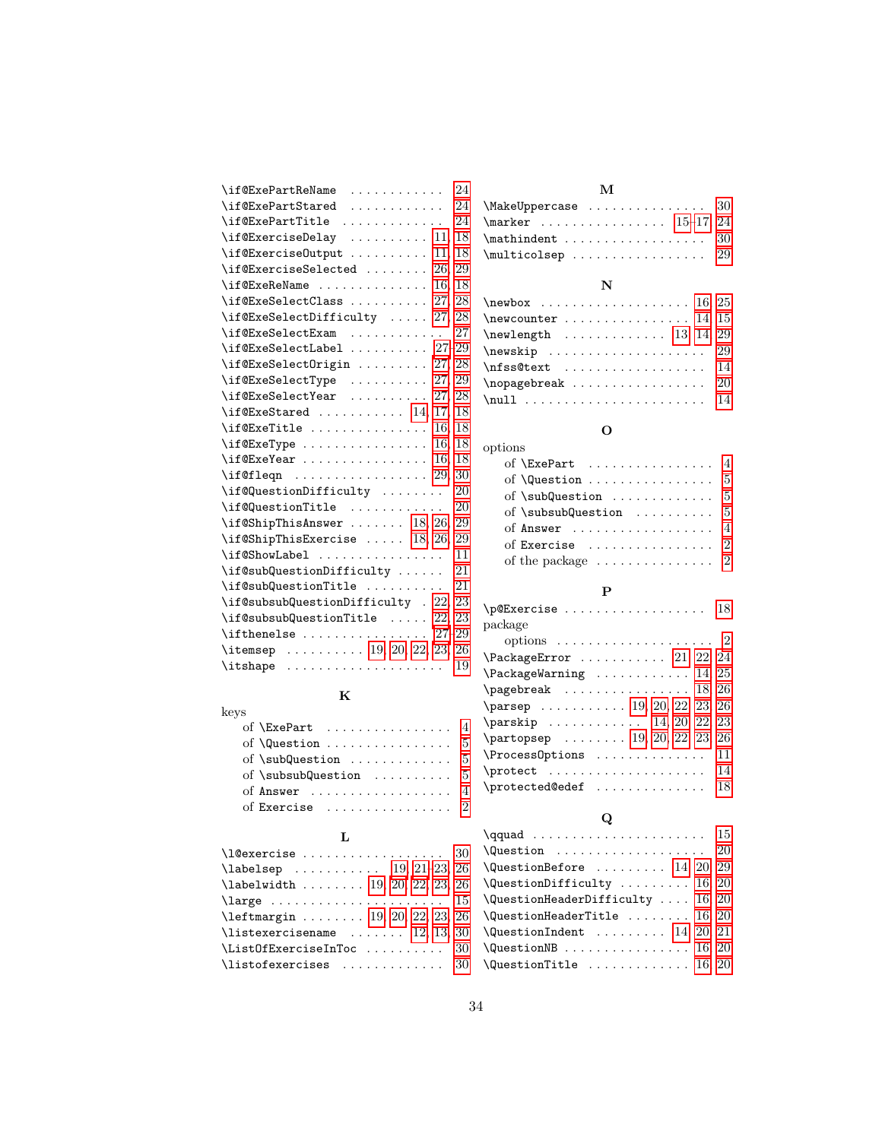| \if@ExePartReName<br>24                                                                                                  |
|--------------------------------------------------------------------------------------------------------------------------|
| $\iint@ExePartStrategy$ 24                                                                                               |
| 24<br>$\{if@ExePartTitle \dots \dots \dots \dots \}$                                                                     |
| $\iint@Exercise$ Delay  11, 18                                                                                           |
| \if@ExerciseOutput<br>11, 18                                                                                             |
| $\iint@ExerciseSelected \dots 26, 29$                                                                                    |
| $\iint@Exe$ ReName  16, 18                                                                                               |
| $\iint@ExeSelectClass    27, 28$                                                                                         |
| $\left\{\text{if} \mathbb{C} \text{E} \text{x} \text{e} \text{Set} \text{Difficulty } \dots \dots \quad 27, 28 \right\}$ |
| $\iint@ExeSelectExam$<br>27                                                                                              |
| $\iint@ExeSelectLabel 27-29$                                                                                             |
| \if@ExeSelectOrigin  27, 28                                                                                              |
| $\iint@ExeSelectType \ldots$ 27, 29                                                                                      |
| \if@ExeSelectYear<br>27, 28                                                                                              |
| $\iint@ExeStated    14, 17, 18$                                                                                          |
| $\iint ①$ ExeTitle  16.<br>18                                                                                            |
| $\iota$ if@ExeType  16, 18                                                                                               |
| $\iint@ExeYear \ldots \ldots \ldots$<br>16.<br>18                                                                        |
| $\left\{ \text{if@fleqn } \ldots \ldots \ldots \ldots 29, 30 \right\}$                                                   |
| \if@QuestionDifficulty<br>20                                                                                             |
| \if@QuestionTitle<br>20                                                                                                  |
| $\iint$ @ShipThisAnswer  18, 26, 29                                                                                      |
| $\if$ GShipThisExercise  18, 26, 29                                                                                      |
| \if@ShowLabel<br>11                                                                                                      |
| \if@subQuestionDifficulty  21                                                                                            |
| \if@subQuestionTitle<br>21                                                                                               |
| \if@subsubQuestionDifficulty . 22, 23                                                                                    |
| $\iint$ @subsubQuestionTitle  22, 23                                                                                     |
| \ifthenelse $\ldots \ldots \ldots \ldots 27-29$                                                                          |
| \itemsep  19, 20, 22, 23, 26                                                                                             |
| $\it \iota\$<br>19                                                                                                       |

# K

| keys                                                     |
|----------------------------------------------------------|
| of $\text{ExePart}$ 4                                    |
|                                                          |
| of $\sum$ ubQuestion  5                                  |
| of $\substack{\text{subfunction} \ldots \ldots \quad 5}$ |
| of Answer $\ldots \ldots \ldots \ldots \ldots$           |
| of Exercise $\ldots \ldots \ldots \ldots 2$              |

# L

| $\lambda$ labelsep  19, 21-23, 26        |  |
|------------------------------------------|--|
| $\lambda$ labelwidth  19, 20, 22, 23, 26 |  |
| \large $15\,$                            |  |
| $\left\{ \right. 23, 26$                 |  |
| $\text{listexercises}$ 12, 13, 30        |  |
| $\verb \ListOfExerciseInToc         30$  |  |
| \listofexercises $30$                    |  |

# M

| $\{\text{MakeUppercase} \dots \dots \dots \dots \ 30\}$ |  |  |  |  |  |  |  |  |
|---------------------------------------------------------|--|--|--|--|--|--|--|--|
| $\text{N}$ 15-17, 24                                    |  |  |  |  |  |  |  |  |
| $\mathcal{S}$                                           |  |  |  |  |  |  |  |  |
| $\mathcal{L}$ 29                                        |  |  |  |  |  |  |  |  |
|                                                         |  |  |  |  |  |  |  |  |

# N

| $\neq 16, 25$     |  |
|-------------------|--|
| $\neq 14, 15$     |  |
| $\neq$ 13, 14, 29 |  |
|                   |  |
| $\n{\n  14\n}$    |  |
| $\n\neq 20$       |  |
|                   |  |

# O

| options                                                     |
|-------------------------------------------------------------|
| of $\text{ExePart}$ 4                                       |
| of $\Omega$ uestion  5                                      |
| of $\sub{subQuestion}$ 5                                    |
| of $\substack{\text{subsub}}$ and $\substack{\ldots \ldots$ |
| of Answer $\ldots \ldots \ldots \ldots \ldots$              |
| of Exercise $\dots\dots\dots\dots\dots$                     |
| of the package $\ldots \ldots \ldots \ldots 2$              |

# P

| $\text{PCE}$ xercise  18                                                   |
|----------------------------------------------------------------------------|
| package                                                                    |
|                                                                            |
| $\P$ ackageError  21, 22, 24                                               |
| $\P$ ackageWarning  14, 25                                                 |
| $\text{pagebreak}$ 18, 26                                                  |
| $\text{parsep} \dots \dots \dots \dots \dots \ 19, \ 20, \ 22, \ 23, \ 26$ |
| $\text{parskip} \ldots \ldots \quad 14, 20, 22, 23$                        |
| $\{\text{partopsep} \dots \dots \ 19, 20, 22, 23, 26\}$                    |
| \ProcessOptions<br>11                                                      |
| $\mathcal{L}$<br>14                                                        |
| \protected@edef<br>18                                                      |
|                                                                            |

# Q

| $\qquad$                                                                                         |  |
|--------------------------------------------------------------------------------------------------|--|
| $\texttt{\textbackslash}\mathbb{Q}$ are the set of $\ldots\ldots\ldots\ldots\ldots\ldots\quad20$ |  |
| $\text{QuestionBefore} \dots \dots \dots \quad 14, 20, 29$                                       |  |
| $\text{QuestionDifficulty} \dots \dots \dots \ 16, 20$                                           |  |
| $\text{QuestionHeaderDifficulty} \dots 16, 20$                                                   |  |
| $\text{QuestionHeaderTitle} \dots \dots \dots \ 16, \ 20$                                        |  |
| $\text{QuestionIndent}$ 14, 20, 21                                                               |  |
| $\texttt{\textbackslash}\mathbb{Q}$ uestionNB  16, 20                                            |  |
| $\texttt{\textbackslash}\mathbb{Q}$ uestionTitle  16, 20                                         |  |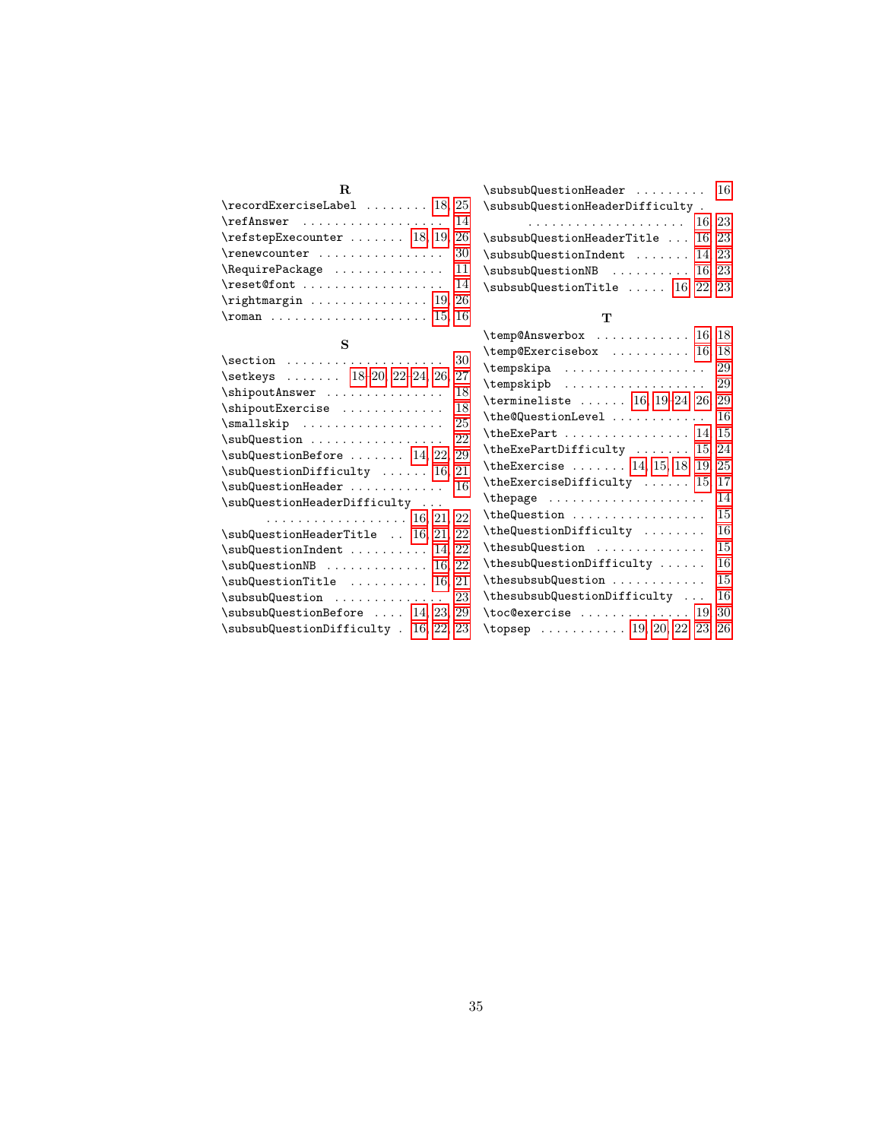| R.                                                  |
|-----------------------------------------------------|
| $\text{record}$ ExerciseLabel  18, 25               |
| $\texttt{ThefAnswer} \dots \dots \dots \dots \ 14$  |
| $\refstep{Exception}$ : 18, 19, 26                  |
| $\text{Prenewcounter} \dots \dots \dots \dots \ 30$ |
| $\lambda$ Require Package  11                       |
|                                                     |
| $\rightarrow$ 26                                    |
|                                                     |

| S                                                              | ΛU<br>١t |
|----------------------------------------------------------------|----------|
| 30                                                             | ١t       |
| \setkeys  18-20, 22-24, 26, 27                                 | ١t       |
| \shipoutAnswer<br>18                                           | ١t       |
| 18<br>\shipoutExercise                                         |          |
| 25<br>$\small{\texttt{smallskip}\; \ldots\; \ldots\; \ldots\;$ | ١t       |
| 22<br>$\sub{subQuestion     $                                  | ١t       |
| $\sub{subQuestionBefore   14, 22, 29}$                         | ١t       |
| $\sub{subQuestionDifficulty$ 16, 21                            | ١t       |
| $\sub{subQuestionHeader    16}$                                | ١t       |
| \subQuestionHeaderDifficulty                                   | ١t       |
| . 16, 21, 22                                                   | ١t       |
| $\sub{subQuestionHeaderTitle}$ 16, 21, 22                      | ١t       |
| $\sub{subQuestionIndent    14, 22}$                            | ١t       |
| $\sub{subQuestionNB}$ 16, 22                                   | ١t       |
| $\sub{subQuestionTitle}$ 16, 21                                | ١t       |
| $\sub{subsubquestion$<br>23                                    | ١t       |
| $\sub{subSubsubQuestionBefore  14, 23, 29}$                    | ١t       |
| \subsubQuestionDifficulty . 16, 22, 23                         | \t       |

| \subsubQuestionHeader  16                   |  |
|---------------------------------------------|--|
| \subsubQuestionHeaderDifficulty.            |  |
|                                             |  |
| $\sub{subSubsubQuestionHeaderTitle}$ 16, 23 |  |
| $\sub{subSubsubQuestionIndent$ 14, 23       |  |
| $\sub{subSubsubQuestionNB}$ 16, 23          |  |
| $\sub{subSubsubQuestionTitle}$ 16, 22, 23   |  |
|                                             |  |

## T

| $\temp@Answerbox \dots \dots \dots 16, 18$                        |    |
|-------------------------------------------------------------------|----|
| $\temp@Exercisebox$ 16, 18                                        |    |
| \tempskipa                                                        | 29 |
| $\text{tempskip}$ 29                                              |    |
| \termineliste  16, 19-24, 26, 29                                  |    |
| \the@QuestionLevel                                                | 16 |
| $\theta$ . The ExePart 14, 15                                     |    |
| $\theta$ \the ExePartDifficulty  15, 24                           |    |
| $\theta$ 14, 15, 18, 19, 25                                       |    |
| $\theta$ . The Exercise Difficulty  15, 17                        |    |
| \thepage                                                          | 14 |
| \theQuestion                                                      | 15 |
| \theQuestionDifficulty                                            | 16 |
| \thesubQuestion                                                   | 15 |
| \thesubQuestionDifficulty                                         | 16 |
| \thesubsubQuestion                                                | 15 |
| \thesubsubQuestionDifficulty                                      | 16 |
| $\texttt{toc@exercise} \dots \dots \dots \dots \dots \ 19, \, 30$ |    |
| \topsep  19, 20, 22, 23, 26                                       |    |
|                                                                   |    |